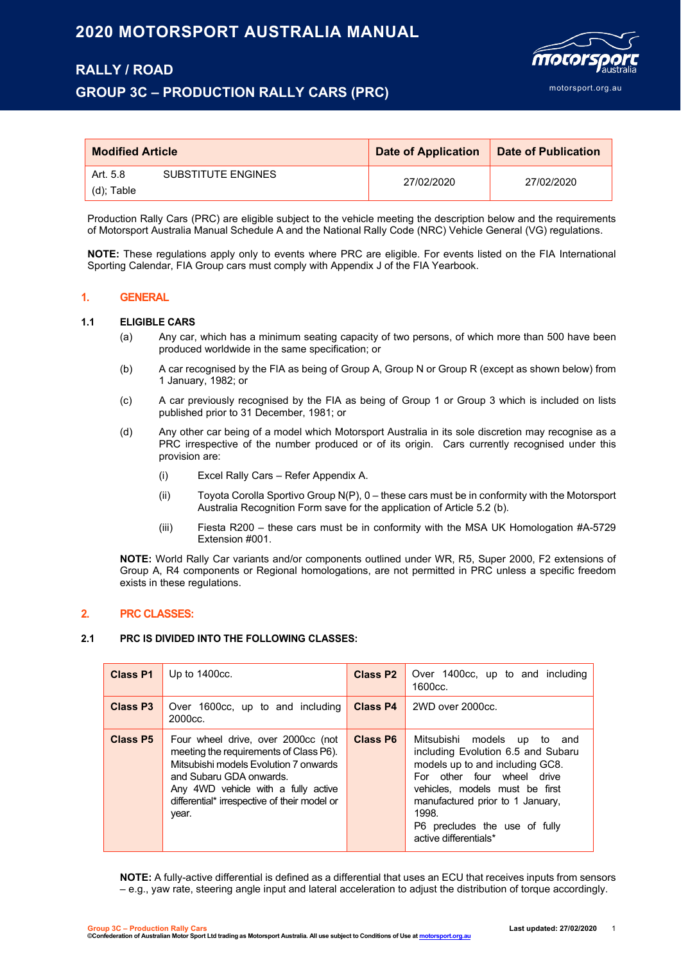# **2020 MOTORSPORT AUSTRALIA MANUAL**

# **RALLY / ROAD**

# **GROUP 3C – PRODUCTION RALLY CARS (PRC)**



| <b>Modified Article</b>        | Date of Application | <b>Date of Publication</b> |  |
|--------------------------------|---------------------|----------------------------|--|
| SUBSTITUTE ENGINES<br>Art. 5.8 | 27/02/2020          | 27/02/2020                 |  |
| (d); Table                     |                     |                            |  |

Production Rally Cars (PRC) are eligible subject to the vehicle meeting the description below and the requirements of Motorsport Australia Manual Schedule A and the National Rally Code (NRC) Vehicle General (VG) regulations.

**NOTE:** These regulations apply only to events where PRC are eligible. For events listed on the FIA International Sporting Calendar, FIA Group cars must comply with Appendix J of the FIA Yearbook.

# **1. GENERAL**

## **1.1 ELIGIBLE CARS**

- (a) Any car, which has a minimum seating capacity of two persons, of which more than 500 have been produced worldwide in the same specification; or
- (b) A car recognised by the FIA as being of Group A, Group N or Group R (except as shown below) from 1 January, 1982; or
- (c) A car previously recognised by the FIA as being of Group 1 or Group 3 which is included on lists published prior to 31 December, 1981; or
- (d) Any other car being of a model which Motorsport Australia in its sole discretion may recognise as a PRC irrespective of the number produced or of its origin. Cars currently recognised under this provision are:
	- (i) Excel Rally Cars Refer Appendix A.
	- (ii) Toyota Corolla Sportivo Group N(P), 0 these cars must be in conformity with the Motorsport Australia Recognition Form save for the application of Article 5.2 (b).
	- (iii) Fiesta R200 these cars must be in conformity with the MSA UK Homologation #A-5729 Extension #001.

**NOTE:** World Rally Car variants and/or components outlined under WR, R5, Super 2000, F2 extensions of Group A, R4 components or Regional homologations, are not permitted in PRC unless a specific freedom exists in these regulations.

## **2. PRC CLASSES:**

## **2.1 PRC IS DIVIDED INTO THE FOLLOWING CLASSES:**

| <b>Class P1</b>      | Up to $1400cc$ .                                                                                                                                                                                                                                 | Class P <sub>2</sub> | Over 1400cc, up to and including<br>1600cc.                                                                                                                                                                                                                                |
|----------------------|--------------------------------------------------------------------------------------------------------------------------------------------------------------------------------------------------------------------------------------------------|----------------------|----------------------------------------------------------------------------------------------------------------------------------------------------------------------------------------------------------------------------------------------------------------------------|
| Class P <sub>3</sub> | Over 1600cc, up to and including<br>2000 <sub>cc</sub>                                                                                                                                                                                           | <b>Class P4</b>      | 2WD over 2000cc.                                                                                                                                                                                                                                                           |
| <b>Class P5</b>      | Four wheel drive, over 2000cc (not<br>meeting the requirements of Class P6).<br>Mitsubishi models Evolution 7 onwards<br>and Subaru GDA onwards.<br>Any 4WD vehicle with a fully active<br>differential* irrespective of their model or<br>year. |                      | Mitsubishi models up to and<br>including Evolution 6.5 and Subaru<br>models up to and including GC8.<br>For other four wheel drive<br>vehicles, models must be first<br>manufactured prior to 1 January,<br>1998<br>P6 precludes the use of fully<br>active differentials* |

**NOTE:** A fully-active differential is defined as a differential that uses an ECU that receives inputs from sensors – e.g., yaw rate, steering angle input and lateral acceleration to adjust the distribution of torque accordingly.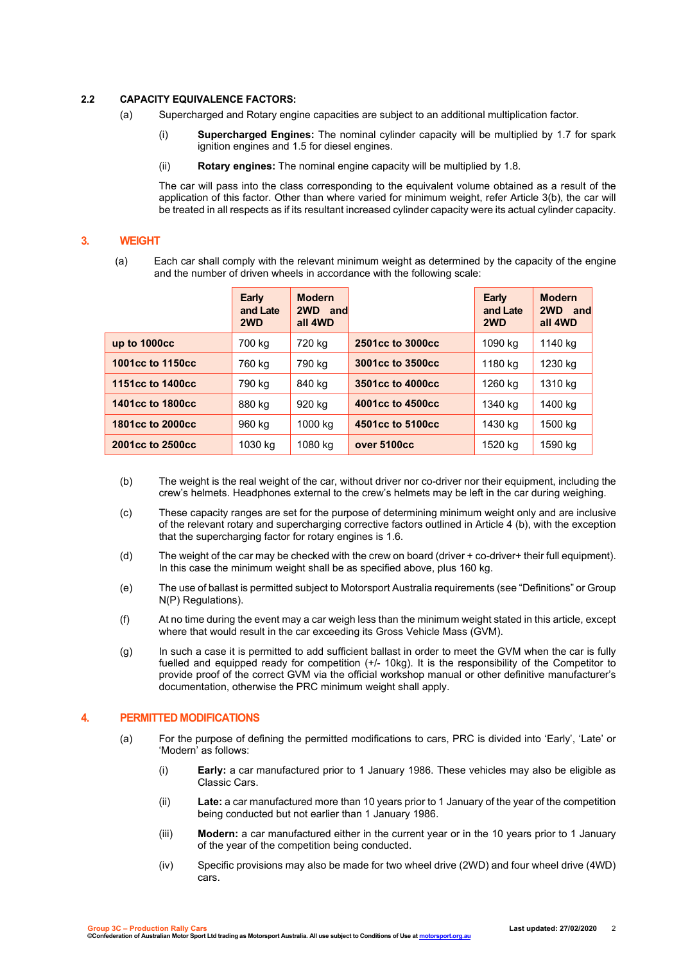### **2.2 CAPACITY EQUIVALENCE FACTORS:**

- (a) Supercharged and Rotary engine capacities are subject to an additional multiplication factor.
	- (i) **Supercharged Engines:** The nominal cylinder capacity will be multiplied by 1.7 for spark ignition engines and 1.5 for diesel engines.
	- (ii) **Rotary engines:** The nominal engine capacity will be multiplied by 1.8.

The car will pass into the class corresponding to the equivalent volume obtained as a result of the application of this factor. Other than where varied for minimum weight, refer Article 3(b), the car will be treated in all respects as if its resultant increased cylinder capacity were its actual cylinder capacity.

# **3. WEIGHT**

(a) Each car shall comply with the relevant minimum weight as determined by the capacity of the engine and the number of driven wheels in accordance with the following scale:

|                  | Early<br>and Late<br>2WD | <b>Modern</b><br>2WD and<br>all 4WD |                  | Early<br>and Late<br>2WD | <b>Modern</b><br>2WD and<br>all 4WD |
|------------------|--------------------------|-------------------------------------|------------------|--------------------------|-------------------------------------|
| up to 1000cc     | 700 kg                   | 720 kg                              | 2501cc to 3000cc | 1090 kg                  | 1140 kg                             |
| 1001cc to 1150cc | 760 kg                   | 790 kg                              | 3001cc to 3500cc | 1180 kg                  | 1230 kg                             |
| 1151cc to 1400cc | 790 kg                   | 840 kg                              | 3501cc to 4000cc | 1260 kg                  | 1310 kg                             |
| 1401cc to 1800cc | 880 kg                   | 920 kg                              | 4001cc to 4500cc | 1340 kg                  | 1400 kg                             |
| 1801cc to 2000cc | 960 kg                   | 1000 kg                             | 4501cc to 5100cc | 1430 kg                  | 1500 kg                             |
| 2001cc to 2500cc | 1030 kg                  | 1080 kg                             | over 5100cc      | 1520 kg                  | 1590 kg                             |

- (b) The weight is the real weight of the car, without driver nor co-driver nor their equipment, including the crew's helmets. Headphones external to the crew's helmets may be left in the car during weighing.
- (c) These capacity ranges are set for the purpose of determining minimum weight only and are inclusive of the relevant rotary and supercharging corrective factors outlined in Article 4 (b), with the exception that the supercharging factor for rotary engines is 1.6.
- (d) The weight of the car may be checked with the crew on board (driver + co-driver+ their full equipment). In this case the minimum weight shall be as specified above, plus 160 kg.
- (e) The use of ballast is permitted subject to Motorsport Australia requirements (see "Definitions" or Group N(P) Regulations).
- (f) At no time during the event may a car weigh less than the minimum weight stated in this article, except where that would result in the car exceeding its Gross Vehicle Mass (GVM).
- (g) In such a case it is permitted to add sufficient ballast in order to meet the GVM when the car is fully fuelled and equipped ready for competition (+/- 10kg). It is the responsibility of the Competitor to provide proof of the correct GVM via the official workshop manual or other definitive manufacturer's documentation, otherwise the PRC minimum weight shall apply.

# **4. PERMITTED MODIFICATIONS**

- (a) For the purpose of defining the permitted modifications to cars, PRC is divided into 'Early', 'Late' or 'Modern' as follows:
	- (i) **Early:** a car manufactured prior to 1 January 1986. These vehicles may also be eligible as Classic Cars.
	- (ii) **Late:** a car manufactured more than 10 years prior to 1 January of the year of the competition being conducted but not earlier than 1 January 1986.
	- (iii) **Modern:** a car manufactured either in the current year or in the 10 years prior to 1 January of the year of the competition being conducted.
	- (iv) Specific provisions may also be made for two wheel drive (2WD) and four wheel drive (4WD) cars.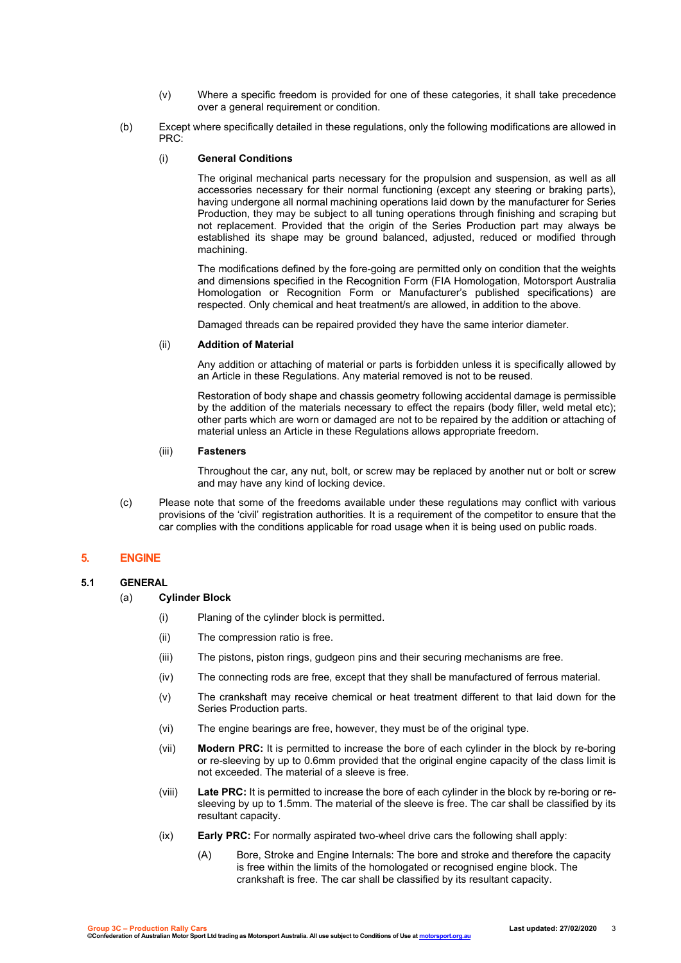- (v) Where a specific freedom is provided for one of these categories, it shall take precedence over a general requirement or condition.
- (b) Except where specifically detailed in these regulations, only the following modifications are allowed in PRC:

#### (i) **General Conditions**

The original mechanical parts necessary for the propulsion and suspension, as well as all accessories necessary for their normal functioning (except any steering or braking parts), having undergone all normal machining operations laid down by the manufacturer for Series Production, they may be subject to all tuning operations through finishing and scraping but not replacement. Provided that the origin of the Series Production part may always be established its shape may be ground balanced, adjusted, reduced or modified through machining.

The modifications defined by the fore-going are permitted only on condition that the weights and dimensions specified in the Recognition Form (FIA Homologation, Motorsport Australia Homologation or Recognition Form or Manufacturer's published specifications) are respected. Only chemical and heat treatment/s are allowed, in addition to the above.

Damaged threads can be repaired provided they have the same interior diameter.

## (ii) **Addition of Material**

Any addition or attaching of material or parts is forbidden unless it is specifically allowed by an Article in these Regulations. Any material removed is not to be reused.

Restoration of body shape and chassis geometry following accidental damage is permissible by the addition of the materials necessary to effect the repairs (body filler, weld metal etc); other parts which are worn or damaged are not to be repaired by the addition or attaching of material unless an Article in these Regulations allows appropriate freedom.

#### (iii) **Fasteners**

Throughout the car, any nut, bolt, or screw may be replaced by another nut or bolt or screw and may have any kind of locking device.

(c) Please note that some of the freedoms available under these regulations may conflict with various provisions of the 'civil' registration authorities. It is a requirement of the competitor to ensure that the car complies with the conditions applicable for road usage when it is being used on public roads.

# **5. ENGINE**

# **5.1 GENERAL**

- (a) **Cylinder Block**
	- (i) Planing of the cylinder block is permitted.
	- (ii) The compression ratio is free.
	- (iii) The pistons, piston rings, gudgeon pins and their securing mechanisms are free.
	- (iv) The connecting rods are free, except that they shall be manufactured of ferrous material.
	- (v) The crankshaft may receive chemical or heat treatment different to that laid down for the Series Production parts.
	- (vi) The engine bearings are free, however, they must be of the original type.
	- (vii) **Modern PRC:** It is permitted to increase the bore of each cylinder in the block by re-boring or re-sleeving by up to 0.6mm provided that the original engine capacity of the class limit is not exceeded. The material of a sleeve is free.
	- (viii) **Late PRC:** It is permitted to increase the bore of each cylinder in the block by re-boring or resleeving by up to 1.5mm. The material of the sleeve is free. The car shall be classified by its resultant capacity.
	- (ix) **Early PRC:** For normally aspirated two-wheel drive cars the following shall apply:
		- (A) Bore, Stroke and Engine Internals: The bore and stroke and therefore the capacity is free within the limits of the homologated or recognised engine block. The crankshaft is free. The car shall be classified by its resultant capacity.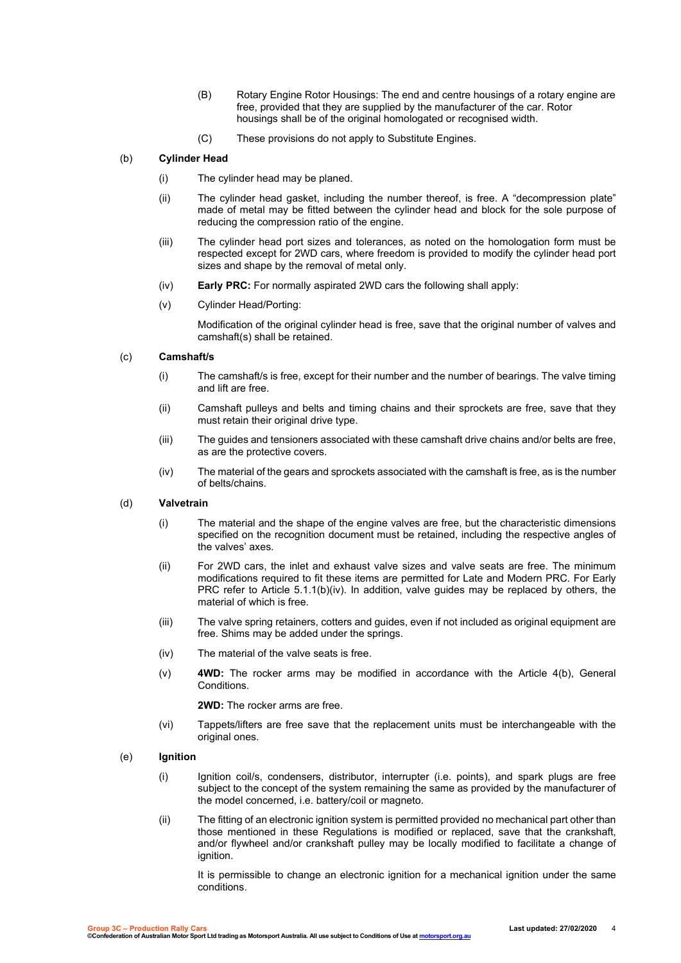- (B) Rotary Engine Rotor Housings: The end and centre housings of a rotary engine are free, provided that they are supplied by the manufacturer of the car. Rotor housings shall be of the original homologated or recognised width.
- (C) These provisions do not apply to Substitute Engines.

## (b) **Cylinder Head**

- (i) The cylinder head may be planed.
- (ii) The cylinder head gasket, including the number thereof, is free. A "decompression plate" made of metal may be fitted between the cylinder head and block for the sole purpose of reducing the compression ratio of the engine.
- (iii) The cylinder head port sizes and tolerances, as noted on the homologation form must be respected except for 2WD cars, where freedom is provided to modify the cylinder head port sizes and shape by the removal of metal only.
- (iv) **Early PRC:** For normally aspirated 2WD cars the following shall apply:
- (v) Cylinder Head/Porting:

Modification of the original cylinder head is free, save that the original number of valves and camshaft(s) shall be retained.

#### (c) **Camshaft/s**

- (i) The camshaft/s is free, except for their number and the number of bearings. The valve timing and lift are free.
- (ii) Camshaft pulleys and belts and timing chains and their sprockets are free, save that they must retain their original drive type.
- (iii) The guides and tensioners associated with these camshaft drive chains and/or belts are free, as are the protective covers.
- (iv) The material of the gears and sprockets associated with the camshaft is free, as is the number of belts/chains.

#### (d) **Valvetrain**

- (i) The material and the shape of the engine valves are free, but the characteristic dimensions specified on the recognition document must be retained, including the respective angles of the valves' axes.
- (ii) For 2WD cars, the inlet and exhaust valve sizes and valve seats are free. The minimum modifications required to fit these items are permitted for Late and Modern PRC. For Early PRC refer to Article 5.1.1(b)(iv). In addition, valve guides may be replaced by others, the material of which is free.
- (iii) The valve spring retainers, cotters and guides, even if not included as original equipment are free. Shims may be added under the springs.
- (iv) The material of the valve seats is free.
- (v) **4WD:** The rocker arms may be modified in accordance with the Article 4(b), General **Conditions**

**2WD:** The rocker arms are free.

(vi) Tappets/lifters are free save that the replacement units must be interchangeable with the original ones.

#### (e) **Ignition**

- (i) Ignition coil/s, condensers, distributor, interrupter (i.e. points), and spark plugs are free subject to the concept of the system remaining the same as provided by the manufacturer of the model concerned, i.e. battery/coil or magneto.
- (ii) The fitting of an electronic ignition system is permitted provided no mechanical part other than those mentioned in these Regulations is modified or replaced, save that the crankshaft, and/or flywheel and/or crankshaft pulley may be locally modified to facilitate a change of ignition.

It is permissible to change an electronic ignition for a mechanical ignition under the same conditions.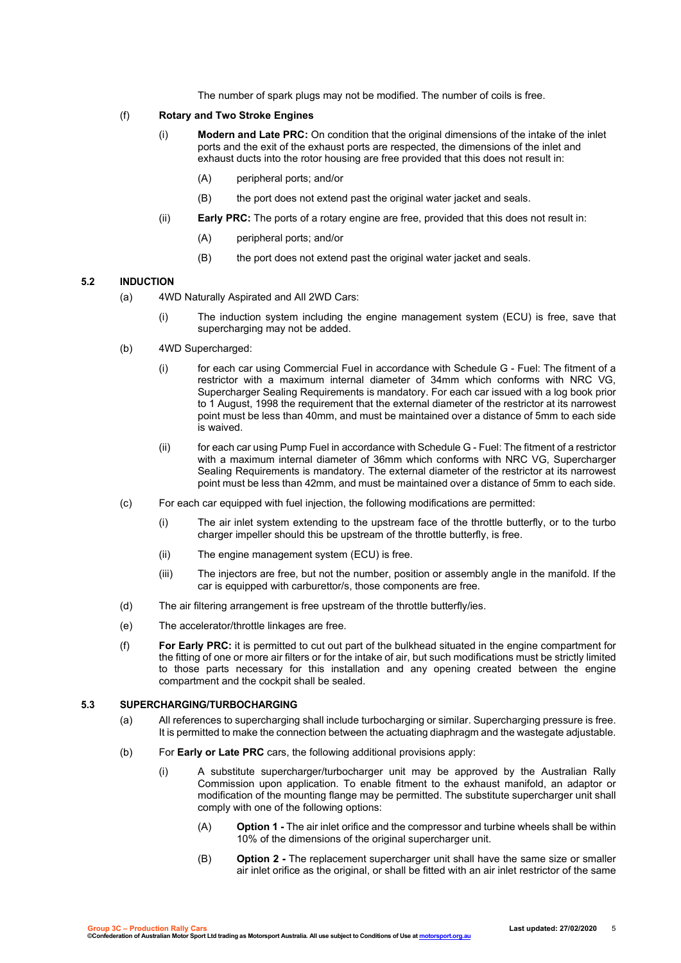The number of spark plugs may not be modified. The number of coils is free.

#### (f) **Rotary and Two Stroke Engines**

- (i) **Modern and Late PRC:** On condition that the original dimensions of the intake of the inlet ports and the exit of the exhaust ports are respected, the dimensions of the inlet and exhaust ducts into the rotor housing are free provided that this does not result in:
	- (A) peripheral ports; and/or
	- (B) the port does not extend past the original water jacket and seals.
- (ii) **Early PRC:** The ports of a rotary engine are free, provided that this does not result in:
	- (A) peripheral ports; and/or
	- (B) the port does not extend past the original water jacket and seals.

#### **5.2 INDUCTION**

- (a) 4WD Naturally Aspirated and All 2WD Cars:
	- (i) The induction system including the engine management system (ECU) is free, save that supercharging may not be added.
- (b) 4WD Supercharged:
	- (i) for each car using Commercial Fuel in accordance with Schedule G Fuel: The fitment of a restrictor with a maximum internal diameter of 34mm which conforms with NRC VG, Supercharger Sealing Requirements is mandatory. For each car issued with a log book prior to 1 August, 1998 the requirement that the external diameter of the restrictor at its narrowest point must be less than 40mm, and must be maintained over a distance of 5mm to each side is waived.
	- (ii) for each car using Pump Fuel in accordance with Schedule G Fuel: The fitment of a restrictor with a maximum internal diameter of 36mm which conforms with NRC VG, Supercharger Sealing Requirements is mandatory. The external diameter of the restrictor at its narrowest point must be less than 42mm, and must be maintained over a distance of 5mm to each side.
- (c) For each car equipped with fuel injection, the following modifications are permitted:
	- (i) The air inlet system extending to the upstream face of the throttle butterfly, or to the turbo charger impeller should this be upstream of the throttle butterfly, is free.
	- (ii) The engine management system (ECU) is free.
	- (iii) The injectors are free, but not the number, position or assembly angle in the manifold. If the car is equipped with carburettor/s, those components are free.
- (d) The air filtering arrangement is free upstream of the throttle butterfly/ies.
- (e) The accelerator/throttle linkages are free.
- (f) **For Early PRC:** it is permitted to cut out part of the bulkhead situated in the engine compartment for the fitting of one or more air filters or for the intake of air, but such modifications must be strictly limited to those parts necessary for this installation and any opening created between the engine compartment and the cockpit shall be sealed.

### **5.3 SUPERCHARGING/TURBOCHARGING**

- (a) All references to supercharging shall include turbocharging or similar. Supercharging pressure is free. It is permitted to make the connection between the actuating diaphragm and the wastegate adjustable.
- (b) For **Early or Late PRC** cars, the following additional provisions apply:
	- (i) A substitute supercharger/turbocharger unit may be approved by the Australian Rally Commission upon application. To enable fitment to the exhaust manifold, an adaptor or modification of the mounting flange may be permitted. The substitute supercharger unit shall comply with one of the following options:
		- (A) **Option 1 -** The air inlet orifice and the compressor and turbine wheels shall be within 10% of the dimensions of the original supercharger unit.
		- (B) **Option 2 -** The replacement supercharger unit shall have the same size or smaller air inlet orifice as the original, or shall be fitted with an air inlet restrictor of the same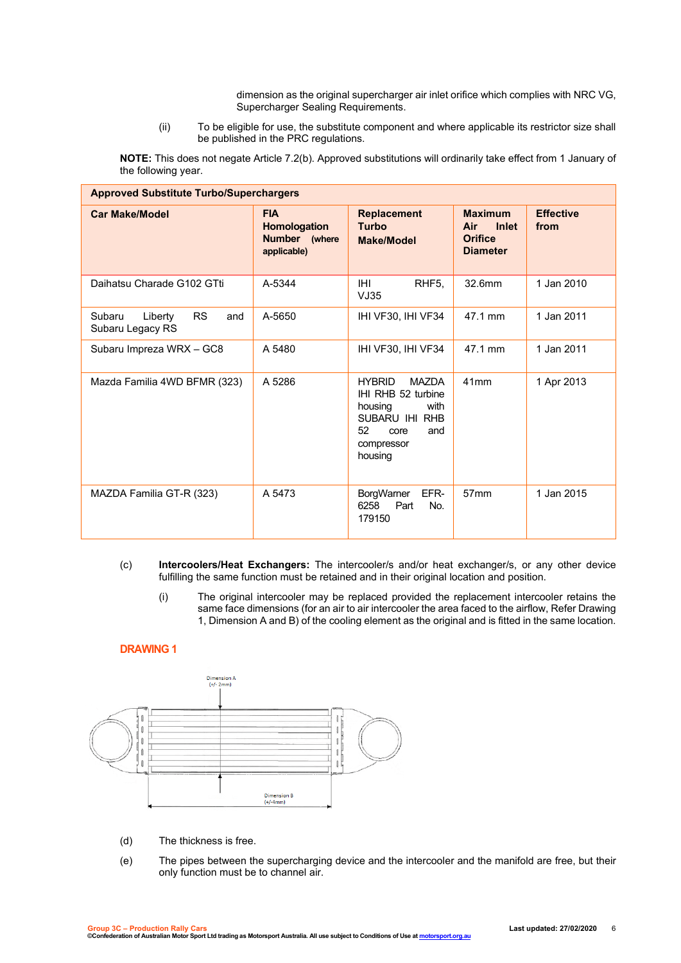dimension as the original supercharger air inlet orifice which complies with NRC VG, Supercharger Sealing Requirements.

(ii) To be eligible for use, the substitute component and where applicable its restrictor size shall be published in the PRC regulations.

**NOTE:** This does not negate Article 7.2(b). Approved substitutions will ordinarily take effect from 1 January of the following year.

| <b>Approved Substitute Turbo/Superchargers</b>            |                                                            |                                                                                                                                        |                                                                            |                          |  |
|-----------------------------------------------------------|------------------------------------------------------------|----------------------------------------------------------------------------------------------------------------------------------------|----------------------------------------------------------------------------|--------------------------|--|
| <b>Car Make/Model</b>                                     | <b>FIA</b><br>Homologation<br>Number (where<br>applicable) | <b>Replacement</b><br><b>Turbo</b><br><b>Make/Model</b>                                                                                | <b>Maximum</b><br><b>Inlet</b><br>Air<br><b>Orifice</b><br><b>Diameter</b> | <b>Effective</b><br>from |  |
| Daihatsu Charade G102 GTti                                | A-5344                                                     | <b>IHI</b><br>RHF <sub>5</sub> ,<br>VJ35                                                                                               | 32.6mm                                                                     | 1 Jan 2010               |  |
| <b>RS</b><br>Subaru<br>Liberty<br>and<br>Subaru Legacy RS | A-5650                                                     | IHI VF30, IHI VF34                                                                                                                     | 47.1 mm                                                                    | 1 Jan 2011               |  |
| Subaru Impreza WRX - GC8                                  | A 5480                                                     | IHI VF30, IHI VF34                                                                                                                     | 47.1 mm                                                                    | 1 Jan 2011               |  |
| Mazda Familia 4WD BFMR (323)                              | A 5286                                                     | <b>HYBRID</b><br><b>MAZDA</b><br>IHI RHB 52 turbine<br>housing<br>with<br>SUBARU IHI RHB<br>52<br>and<br>core<br>compressor<br>housing | 41mm                                                                       | 1 Apr 2013               |  |
| MAZDA Familia GT-R (323)                                  | A 5473                                                     | <b>BorgWarner</b><br>EFR-<br>Part<br>6258<br>No.<br>179150                                                                             | 57 <sub>mm</sub>                                                           | 1 Jan 2015               |  |

- (c) **Intercoolers/Heat Exchangers:** The intercooler/s and/or heat exchanger/s, or any other device fulfilling the same function must be retained and in their original location and position.
	- (i) The original intercooler may be replaced provided the replacement intercooler retains the same face dimensions (for an air to air intercooler the area faced to the airflow, Refer Drawing 1, Dimension A and B) of the cooling element as the original and is fitted in the same location.

## **DRAWING 1**



- (d) The thickness is free.
- (e) The pipes between the supercharging device and the intercooler and the manifold are free, but their only function must be to channel air.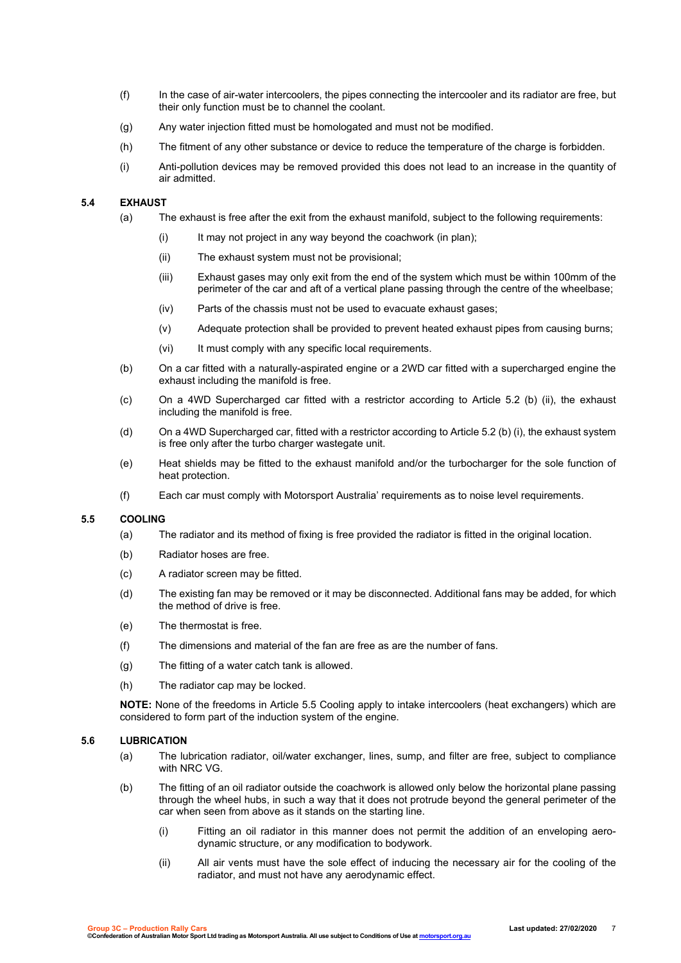- (f) In the case of air-water intercoolers, the pipes connecting the intercooler and its radiator are free, but their only function must be to channel the coolant.
- (g) Any water injection fitted must be homologated and must not be modified.
- (h) The fitment of any other substance or device to reduce the temperature of the charge is forbidden.
- (i) Anti-pollution devices may be removed provided this does not lead to an increase in the quantity of air admitted.

#### **5.4 EXHAUST**

- (a) The exhaust is free after the exit from the exhaust manifold, subject to the following requirements:
	- (i) It may not project in any way beyond the coachwork (in plan);
	- (ii) The exhaust system must not be provisional;
	- (iii) Exhaust gases may only exit from the end of the system which must be within 100mm of the perimeter of the car and aft of a vertical plane passing through the centre of the wheelbase;
	- (iv) Parts of the chassis must not be used to evacuate exhaust gases;
	- (v) Adequate protection shall be provided to prevent heated exhaust pipes from causing burns;
	- (vi) It must comply with any specific local requirements.
- (b) On a car fitted with a naturally-aspirated engine or a 2WD car fitted with a supercharged engine the exhaust including the manifold is free.
- (c) On a 4WD Supercharged car fitted with a restrictor according to Article 5.2 (b) (ii), the exhaust including the manifold is free.
- (d) On a 4WD Supercharged car, fitted with a restrictor according to Article 5.2 (b) (i), the exhaust system is free only after the turbo charger wastegate unit.
- (e) Heat shields may be fitted to the exhaust manifold and/or the turbocharger for the sole function of heat protection.
- (f) Each car must comply with Motorsport Australia' requirements as to noise level requirements.

#### **5.5 COOLING**

- (a) The radiator and its method of fixing is free provided the radiator is fitted in the original location.
- (b) Radiator hoses are free.
- (c) A radiator screen may be fitted.
- (d) The existing fan may be removed or it may be disconnected. Additional fans may be added, for which the method of drive is free.
- (e) The thermostat is free.
- (f) The dimensions and material of the fan are free as are the number of fans.
- (g) The fitting of a water catch tank is allowed.
- (h) The radiator cap may be locked.

**NOTE:** None of the freedoms in Article 5.5 Cooling apply to intake intercoolers (heat exchangers) which are considered to form part of the induction system of the engine.

#### **5.6 LUBRICATION**

- (a) The lubrication radiator, oil/water exchanger, lines, sump, and filter are free, subject to compliance with NRC VG.
- (b) The fitting of an oil radiator outside the coachwork is allowed only below the horizontal plane passing through the wheel hubs, in such a way that it does not protrude beyond the general perimeter of the car when seen from above as it stands on the starting line.
	- (i) Fitting an oil radiator in this manner does not permit the addition of an enveloping aerodynamic structure, or any modification to bodywork.
	- (ii) All air vents must have the sole effect of inducing the necessary air for the cooling of the radiator, and must not have any aerodynamic effect.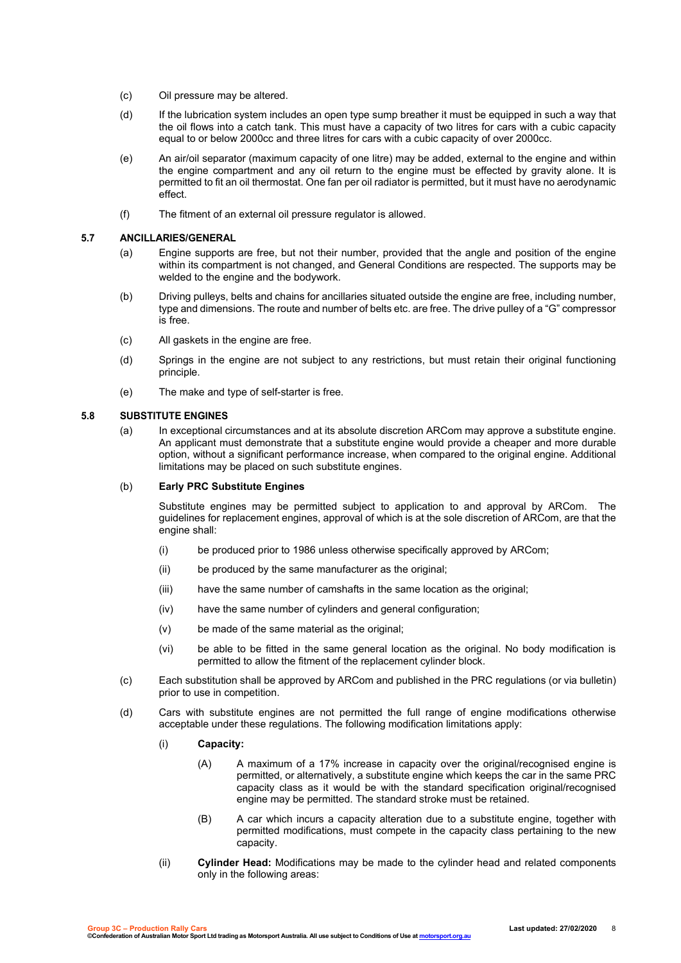- (c) Oil pressure may be altered.
- (d) If the lubrication system includes an open type sump breather it must be equipped in such a way that the oil flows into a catch tank. This must have a capacity of two litres for cars with a cubic capacity equal to or below 2000cc and three litres for cars with a cubic capacity of over 2000cc.
- (e) An air/oil separator (maximum capacity of one litre) may be added, external to the engine and within the engine compartment and any oil return to the engine must be effected by gravity alone. It is permitted to fit an oil thermostat. One fan per oil radiator is permitted, but it must have no aerodynamic effect.
- (f) The fitment of an external oil pressure regulator is allowed.

#### **5.7 ANCILLARIES/GENERAL**

- (a) Engine supports are free, but not their number, provided that the angle and position of the engine within its compartment is not changed, and General Conditions are respected. The supports may be welded to the engine and the bodywork.
- (b) Driving pulleys, belts and chains for ancillaries situated outside the engine are free, including number, type and dimensions. The route and number of belts etc. are free. The drive pulley of a "G" compressor is free.
- (c) All gaskets in the engine are free.
- (d) Springs in the engine are not subject to any restrictions, but must retain their original functioning principle.
- (e) The make and type of self-starter is free.

#### **5.8 SUBSTITUTE ENGINES**

(a) In exceptional circumstances and at its absolute discretion ARCom may approve a substitute engine. An applicant must demonstrate that a substitute engine would provide a cheaper and more durable option, without a significant performance increase, when compared to the original engine. Additional limitations may be placed on such substitute engines.

#### (b) **Early PRC Substitute Engines**

Substitute engines may be permitted subject to application to and approval by ARCom. The guidelines for replacement engines, approval of which is at the sole discretion of ARCom, are that the engine shall:

- (i) be produced prior to 1986 unless otherwise specifically approved by ARCom;
- (ii) be produced by the same manufacturer as the original;
- (iii) have the same number of camshafts in the same location as the original;
- (iv) have the same number of cylinders and general configuration;
- (v) be made of the same material as the original;
- (vi) be able to be fitted in the same general location as the original. No body modification is permitted to allow the fitment of the replacement cylinder block.
- (c) Each substitution shall be approved by ARCom and published in the PRC regulations (or via bulletin) prior to use in competition.
- (d) Cars with substitute engines are not permitted the full range of engine modifications otherwise acceptable under these regulations. The following modification limitations apply:
	- (i) **Capacity:** 
		- (A) A maximum of a 17% increase in capacity over the original/recognised engine is permitted, or alternatively, a substitute engine which keeps the car in the same PRC capacity class as it would be with the standard specification original/recognised engine may be permitted. The standard stroke must be retained.
		- (B) A car which incurs a capacity alteration due to a substitute engine, together with permitted modifications, must compete in the capacity class pertaining to the new capacity.
	- (ii) **Cylinder Head:** Modifications may be made to the cylinder head and related components only in the following areas: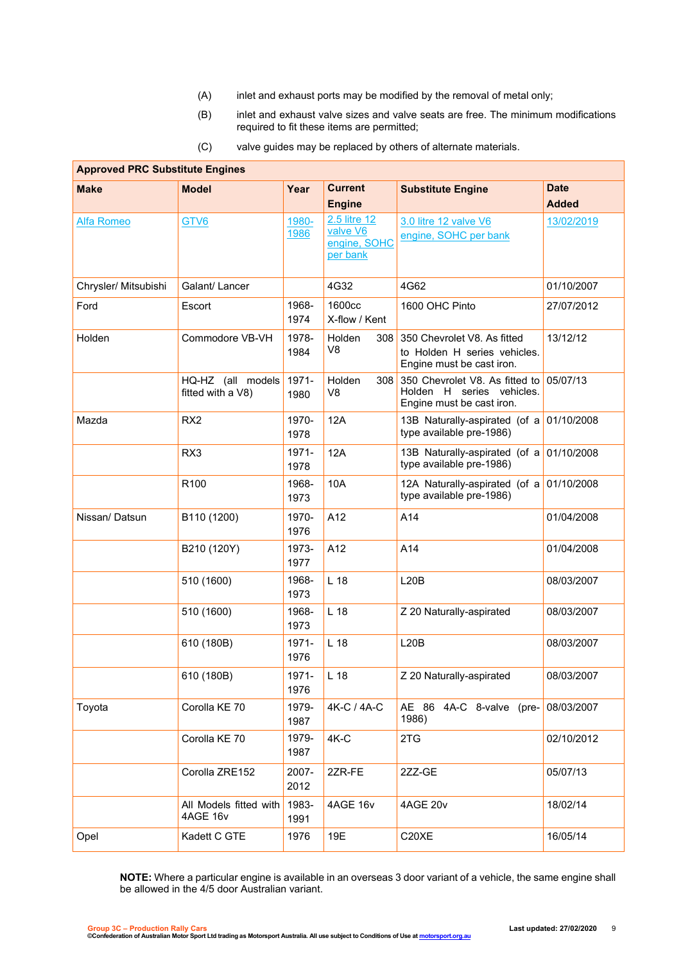- (A) inlet and exhaust ports may be modified by the removal of metal only;
- (B) inlet and exhaust valve sizes and valve seats are free. The minimum modifications required to fit these items are permitted;

| <b>Approved PRC Substitute Engines</b> |                                        |               |                                                      |                                                                                          |              |
|----------------------------------------|----------------------------------------|---------------|------------------------------------------------------|------------------------------------------------------------------------------------------|--------------|
| <b>Make</b>                            | <b>Model</b>                           | Year          | Current                                              | <b>Substitute Engine</b>                                                                 | <b>Date</b>  |
|                                        |                                        |               | <b>Engine</b>                                        |                                                                                          | <b>Added</b> |
| Alfa Romeo                             | GTV6                                   | 1980-<br>1986 | 2.5 litre 12<br>valve V6<br>engine, SOHC<br>per bank | 3.0 litre 12 valve V6<br>engine, SOHC per bank                                           | 13/02/2019   |
| Chrysler/ Mitsubishi                   | Galant/ Lancer                         |               | 4G32                                                 | 4G62                                                                                     | 01/10/2007   |
| Ford                                   | Escort                                 | 1968-<br>1974 | 1600cc<br>X-flow / Kent                              | 1600 OHC Pinto                                                                           | 27/07/2012   |
| Holden                                 | Commodore VB-VH                        | 1978-<br>1984 | Holden<br>308<br>V8                                  | 350 Chevrolet V8. As fitted<br>to Holden H series vehicles.<br>Engine must be cast iron. | 13/12/12     |
|                                        | HQ-HZ (all models<br>fitted with a V8) | 1971-<br>1980 | Holden<br>308<br>V8                                  | 350 Chevrolet V8. As fitted to<br>Holden H series vehicles.<br>Engine must be cast iron. | 05/07/13     |
| Mazda                                  | RX <sub>2</sub>                        | 1970-<br>1978 | 12A                                                  | 13B Naturally-aspirated (of a<br>type available pre-1986)                                | 01/10/2008   |
|                                        | RX3                                    | 1971-<br>1978 | 12A                                                  | 13B Naturally-aspirated (of a<br>type available pre-1986)                                | 01/10/2008   |
|                                        | R100                                   | 1968-<br>1973 | 10A                                                  | 12A Naturally-aspirated (of a<br>type available pre-1986)                                | 01/10/2008   |
| Nissan/Datsun                          | B110 (1200)                            | 1970-<br>1976 | A12                                                  | A14                                                                                      | 01/04/2008   |
|                                        | B210 (120Y)                            | 1973-<br>1977 | A12                                                  | A14                                                                                      | 01/04/2008   |
|                                        | 510 (1600)                             | 1968-<br>1973 | L <sub>18</sub>                                      | L20B                                                                                     | 08/03/2007   |
|                                        | 510 (1600)                             | 1968-<br>1973 | L <sub>18</sub>                                      | Z 20 Naturally-aspirated                                                                 | 08/03/2007   |
|                                        | 610 (180B)                             | 1971-<br>1976 | L <sub>18</sub>                                      | L20B                                                                                     | 08/03/2007   |
|                                        | 610 (180B)                             | 1971-<br>1976 | L <sub>18</sub>                                      | Z 20 Naturally-aspirated                                                                 | 08/03/2007   |
| Toyota                                 | Corolla KE 70                          | 1979-<br>1987 | 4K-C / 4A-C                                          | AE 86 4A-C 8-valve (pre-<br>1986)                                                        | 08/03/2007   |
|                                        | Corolla KE 70                          | 1979-<br>1987 | $4K-C$                                               | 2TG                                                                                      | 02/10/2012   |
|                                        | Corolla ZRE152                         | 2007-<br>2012 | 2ZR-FE                                               | 2ZZ-GE                                                                                   | 05/07/13     |
|                                        | All Models fitted with<br>4AGE 16v     | 1983-<br>1991 | 4AGE 16v                                             | 4AGE 20v                                                                                 | 18/02/14     |
| Opel                                   | Kadett C GTE                           | 1976          | 19E                                                  | C20XE                                                                                    | 16/05/14     |

(C) valve guides may be replaced by others of alternate materials.

**NOTE:** Where a particular engine is available in an overseas 3 door variant of a vehicle, the same engine shall be allowed in the 4/5 door Australian variant.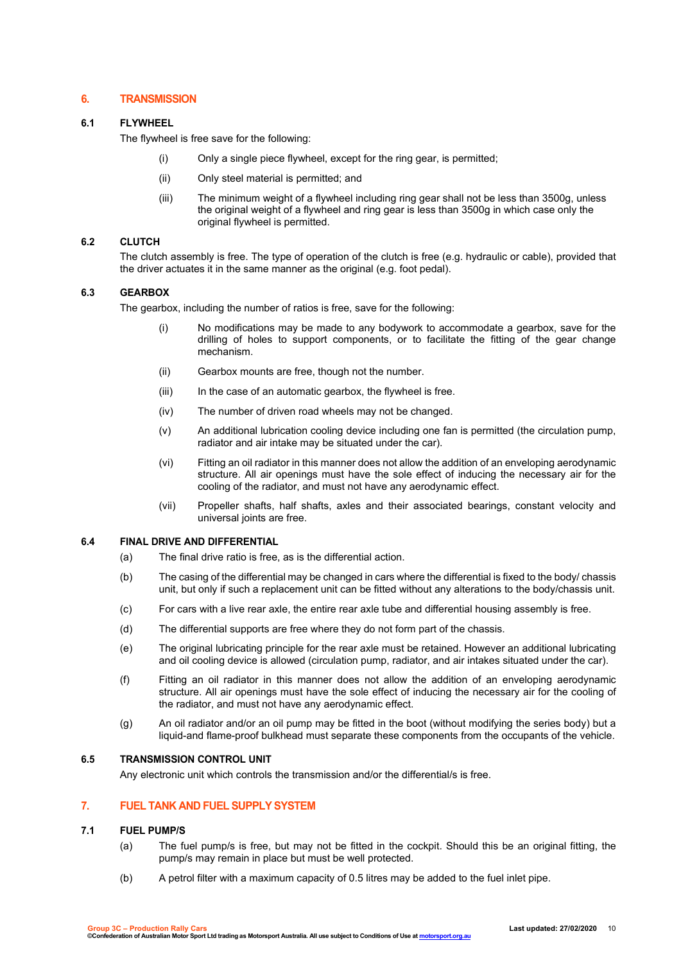# **6. TRANSMISSION**

## **6.1 FLYWHEEL**

The flywheel is free save for the following:

- (i) Only a single piece flywheel, except for the ring gear, is permitted;
- (ii) Only steel material is permitted; and
- (iii) The minimum weight of a flywheel including ring gear shall not be less than 3500g, unless the original weight of a flywheel and ring gear is less than 3500g in which case only the original flywheel is permitted.

## **6.2 CLUTCH**

The clutch assembly is free. The type of operation of the clutch is free (e.g. hydraulic or cable), provided that the driver actuates it in the same manner as the original (e.g. foot pedal).

## **6.3 GEARBOX**

The gearbox, including the number of ratios is free, save for the following:

- (i) No modifications may be made to any bodywork to accommodate a gearbox, save for the drilling of holes to support components, or to facilitate the fitting of the gear change mechanism.
- (ii) Gearbox mounts are free, though not the number.
- (iii) In the case of an automatic gearbox, the flywheel is free.
- (iv) The number of driven road wheels may not be changed.
- (v) An additional lubrication cooling device including one fan is permitted (the circulation pump, radiator and air intake may be situated under the car).
- (vi) Fitting an oil radiator in this manner does not allow the addition of an enveloping aerodynamic structure. All air openings must have the sole effect of inducing the necessary air for the cooling of the radiator, and must not have any aerodynamic effect.
- (vii) Propeller shafts, half shafts, axles and their associated bearings, constant velocity and universal joints are free.

#### **6.4 FINAL DRIVE AND DIFFERENTIAL**

- (a) The final drive ratio is free, as is the differential action.
- (b) The casing of the differential may be changed in cars where the differential is fixed to the body/ chassis unit, but only if such a replacement unit can be fitted without any alterations to the body/chassis unit.
- (c) For cars with a live rear axle, the entire rear axle tube and differential housing assembly is free.
- (d) The differential supports are free where they do not form part of the chassis.
- (e) The original lubricating principle for the rear axle must be retained. However an additional lubricating and oil cooling device is allowed (circulation pump, radiator, and air intakes situated under the car).
- (f) Fitting an oil radiator in this manner does not allow the addition of an enveloping aerodynamic structure. All air openings must have the sole effect of inducing the necessary air for the cooling of the radiator, and must not have any aerodynamic effect.
- (g) An oil radiator and/or an oil pump may be fitted in the boot (without modifying the series body) but a liquid-and flame-proof bulkhead must separate these components from the occupants of the vehicle.

## **6.5 TRANSMISSION CONTROL UNIT**

Any electronic unit which controls the transmission and/or the differential/s is free.

### **7. FUEL TANK AND FUEL SUPPLY SYSTEM**

#### **7.1 FUEL PUMP/S**

- (a) The fuel pump/s is free, but may not be fitted in the cockpit. Should this be an original fitting, the pump/s may remain in place but must be well protected.
- (b) A petrol filter with a maximum capacity of 0.5 litres may be added to the fuel inlet pipe.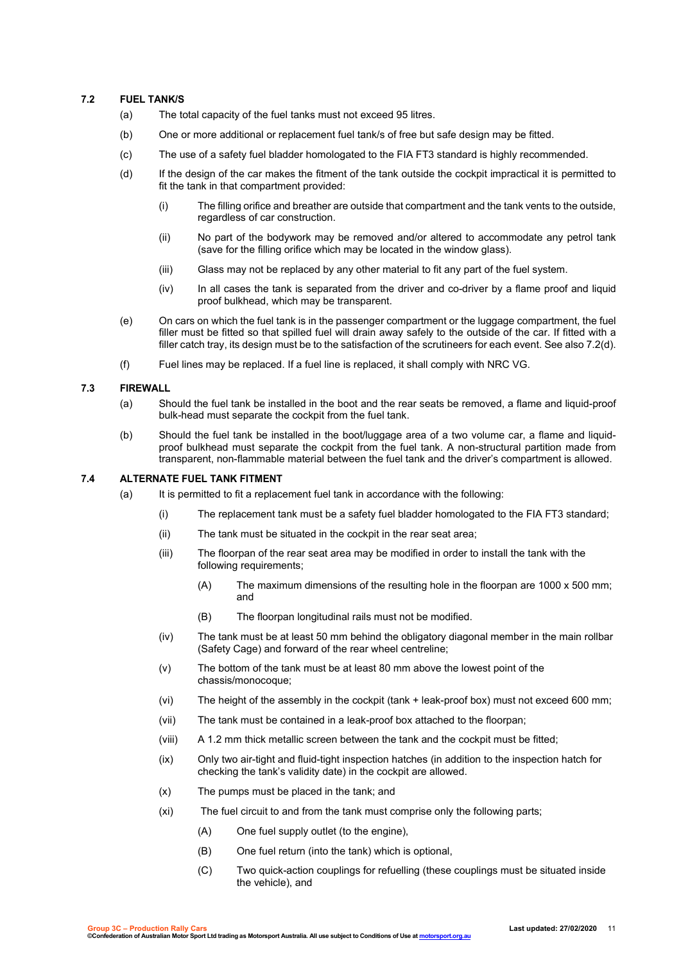## **7.2 FUEL TANK/S**

- (a) The total capacity of the fuel tanks must not exceed 95 litres.
- (b) One or more additional or replacement fuel tank/s of free but safe design may be fitted.
- (c) The use of a safety fuel bladder homologated to the FIA FT3 standard is highly recommended.
- (d) If the design of the car makes the fitment of the tank outside the cockpit impractical it is permitted to fit the tank in that compartment provided:
	- (i) The filling orifice and breather are outside that compartment and the tank vents to the outside, regardless of car construction.
	- (ii) No part of the bodywork may be removed and/or altered to accommodate any petrol tank (save for the filling orifice which may be located in the window glass).
	- (iii) Glass may not be replaced by any other material to fit any part of the fuel system.
	- (iv) In all cases the tank is separated from the driver and co-driver by a flame proof and liquid proof bulkhead, which may be transparent.
- (e) On cars on which the fuel tank is in the passenger compartment or the luggage compartment, the fuel filler must be fitted so that spilled fuel will drain away safely to the outside of the car. If fitted with a filler catch tray, its design must be to the satisfaction of the scrutineers for each event. See also 7.2(d).
- (f) Fuel lines may be replaced. If a fuel line is replaced, it shall comply with NRC VG.

#### **7.3 FIREWALL**

- (a) Should the fuel tank be installed in the boot and the rear seats be removed, a flame and liquid-proof bulk-head must separate the cockpit from the fuel tank.
- (b) Should the fuel tank be installed in the boot/luggage area of a two volume car, a flame and liquidproof bulkhead must separate the cockpit from the fuel tank. A non-structural partition made from transparent, non-flammable material between the fuel tank and the driver's compartment is allowed.

#### **7.4 ALTERNATE FUEL TANK FITMENT**

- (a) It is permitted to fit a replacement fuel tank in accordance with the following:
	- (i) The replacement tank must be a safety fuel bladder homologated to the FIA FT3 standard;
	- (ii) The tank must be situated in the cockpit in the rear seat area;
	- (iii) The floorpan of the rear seat area may be modified in order to install the tank with the following requirements;
		- (A) The maximum dimensions of the resulting hole in the floorpan are 1000 x 500 mm; and
		- (B) The floorpan longitudinal rails must not be modified.
	- (iv) The tank must be at least 50 mm behind the obligatory diagonal member in the main rollbar (Safety Cage) and forward of the rear wheel centreline;
	- (v) The bottom of the tank must be at least 80 mm above the lowest point of the chassis/monocoque;
	- (vi) The height of the assembly in the cockpit (tank + leak-proof box) must not exceed 600 mm;
	- (vii) The tank must be contained in a leak-proof box attached to the floorpan;
	- (viii) A 1.2 mm thick metallic screen between the tank and the cockpit must be fitted;
	- (ix) Only two air-tight and fluid-tight inspection hatches (in addition to the inspection hatch for checking the tank's validity date) in the cockpit are allowed.
	- (x) The pumps must be placed in the tank; and
	- (xi) The fuel circuit to and from the tank must comprise only the following parts;
		- (A) One fuel supply outlet (to the engine),
		- (B) One fuel return (into the tank) which is optional,
		- (C) Two quick-action couplings for refuelling (these couplings must be situated inside the vehicle), and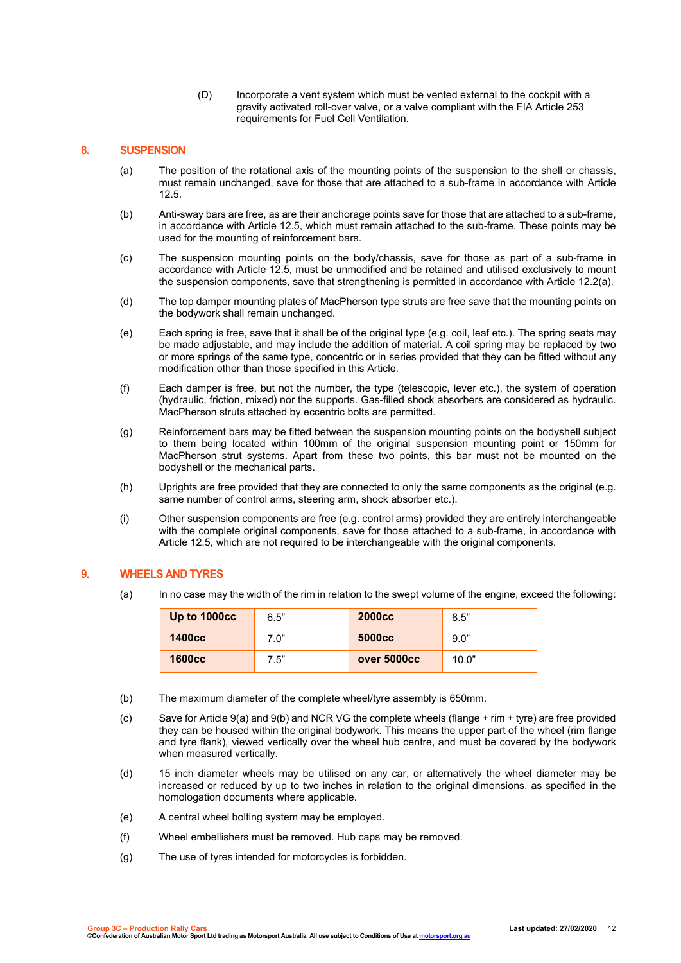(D) Incorporate a vent system which must be vented external to the cockpit with a gravity activated roll-over valve, or a valve compliant with the FIA Article 253 requirements for Fuel Cell Ventilation.

## **8. SUSPENSION**

- (a) The position of the rotational axis of the mounting points of the suspension to the shell or chassis, must remain unchanged, save for those that are attached to a sub-frame in accordance with Article 12.5.
- (b) Anti-sway bars are free, as are their anchorage points save for those that are attached to a sub-frame, in accordance with Article 12.5, which must remain attached to the sub-frame. These points may be used for the mounting of reinforcement bars.
- (c) The suspension mounting points on the body/chassis, save for those as part of a sub-frame in accordance with Article 12.5, must be unmodified and be retained and utilised exclusively to mount the suspension components, save that strengthening is permitted in accordance with Article 12.2(a).
- (d) The top damper mounting plates of MacPherson type struts are free save that the mounting points on the bodywork shall remain unchanged.
- (e) Each spring is free, save that it shall be of the original type (e.g. coil, leaf etc.). The spring seats may be made adjustable, and may include the addition of material. A coil spring may be replaced by two or more springs of the same type, concentric or in series provided that they can be fitted without any modification other than those specified in this Article.
- (f) Each damper is free, but not the number, the type (telescopic, lever etc.), the system of operation (hydraulic, friction, mixed) nor the supports. Gas-filled shock absorbers are considered as hydraulic. MacPherson struts attached by eccentric bolts are permitted.
- (g) Reinforcement bars may be fitted between the suspension mounting points on the bodyshell subject to them being located within 100mm of the original suspension mounting point or 150mm for MacPherson strut systems. Apart from these two points, this bar must not be mounted on the bodyshell or the mechanical parts.
- (h) Uprights are free provided that they are connected to only the same components as the original (e.g. same number of control arms, steering arm, shock absorber etc.).
- (i) Other suspension components are free (e.g. control arms) provided they are entirely interchangeable with the complete original components, save for those attached to a sub-frame, in accordance with Article 12.5, which are not required to be interchangeable with the original components.

## **9. WHEELS AND TYRES**

(a) In no case may the width of the rim in relation to the swept volume of the engine, exceed the following:

| Up to 1000cc  | 6.5" | <b>2000cc</b>      | 8.5"  |
|---------------|------|--------------------|-------|
| <b>1400cc</b> | 7.0" | 5000 <sub>cc</sub> | 9.0"  |
| <b>1600cc</b> | 7.5" | over 5000cc        | 10.0" |

- (b) The maximum diameter of the complete wheel/tyre assembly is 650mm.
- (c) Save for Article 9(a) and 9(b) and NCR VG the complete wheels (flange + rim + tyre) are free provided they can be housed within the original bodywork. This means the upper part of the wheel (rim flange and tyre flank), viewed vertically over the wheel hub centre, and must be covered by the bodywork when measured vertically.
- (d) 15 inch diameter wheels may be utilised on any car, or alternatively the wheel diameter may be increased or reduced by up to two inches in relation to the original dimensions, as specified in the homologation documents where applicable.
- (e) A central wheel bolting system may be employed.
- (f) Wheel embellishers must be removed. Hub caps may be removed.
- (g) The use of tyres intended for motorcycles is forbidden.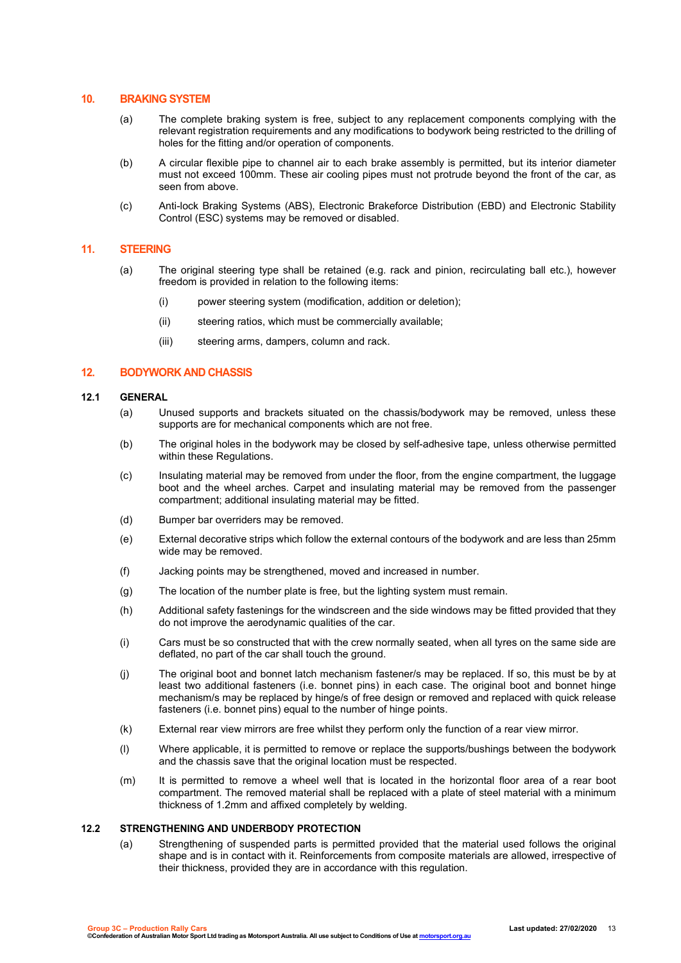# **10. BRAKING SYSTEM**

- (a) The complete braking system is free, subject to any replacement components complying with the relevant registration requirements and any modifications to bodywork being restricted to the drilling of holes for the fitting and/or operation of components.
- (b) A circular flexible pipe to channel air to each brake assembly is permitted, but its interior diameter must not exceed 100mm. These air cooling pipes must not protrude beyond the front of the car, as seen from above.
- (c) Anti-lock Braking Systems (ABS), Electronic Brakeforce Distribution (EBD) and Electronic Stability Control (ESC) systems may be removed or disabled.

## **11. STEERING**

- (a) The original steering type shall be retained (e.g. rack and pinion, recirculating ball etc.), however freedom is provided in relation to the following items:
	- (i) power steering system (modification, addition or deletion);
	- (ii) steering ratios, which must be commercially available;
	- (iii) steering arms, dampers, column and rack.

#### **12. BODYWORK AND CHASSIS**

#### **12.1 GENERAL**

- (a) Unused supports and brackets situated on the chassis/bodywork may be removed, unless these supports are for mechanical components which are not free.
- (b) The original holes in the bodywork may be closed by self-adhesive tape, unless otherwise permitted within these Regulations.
- (c) Insulating material may be removed from under the floor, from the engine compartment, the luggage boot and the wheel arches. Carpet and insulating material may be removed from the passenger compartment; additional insulating material may be fitted.
- (d) Bumper bar overriders may be removed.
- (e) External decorative strips which follow the external contours of the bodywork and are less than 25mm wide may be removed.
- (f) Jacking points may be strengthened, moved and increased in number.
- (g) The location of the number plate is free, but the lighting system must remain.
- (h) Additional safety fastenings for the windscreen and the side windows may be fitted provided that they do not improve the aerodynamic qualities of the car.
- (i) Cars must be so constructed that with the crew normally seated, when all tyres on the same side are deflated, no part of the car shall touch the ground.
- (j) The original boot and bonnet latch mechanism fastener/s may be replaced. If so, this must be by at least two additional fasteners (i.e. bonnet pins) in each case. The original boot and bonnet hinge mechanism/s may be replaced by hinge/s of free design or removed and replaced with quick release fasteners (i.e. bonnet pins) equal to the number of hinge points.
- (k) External rear view mirrors are free whilst they perform only the function of a rear view mirror.
- (l) Where applicable, it is permitted to remove or replace the supports/bushings between the bodywork and the chassis save that the original location must be respected.
- (m) It is permitted to remove a wheel well that is located in the horizontal floor area of a rear boot compartment. The removed material shall be replaced with a plate of steel material with a minimum thickness of 1.2mm and affixed completely by welding.

#### **12.2 STRENGTHENING AND UNDERBODY PROTECTION**

(a) Strengthening of suspended parts is permitted provided that the material used follows the original shape and is in contact with it. Reinforcements from composite materials are allowed, irrespective of their thickness, provided they are in accordance with this regulation.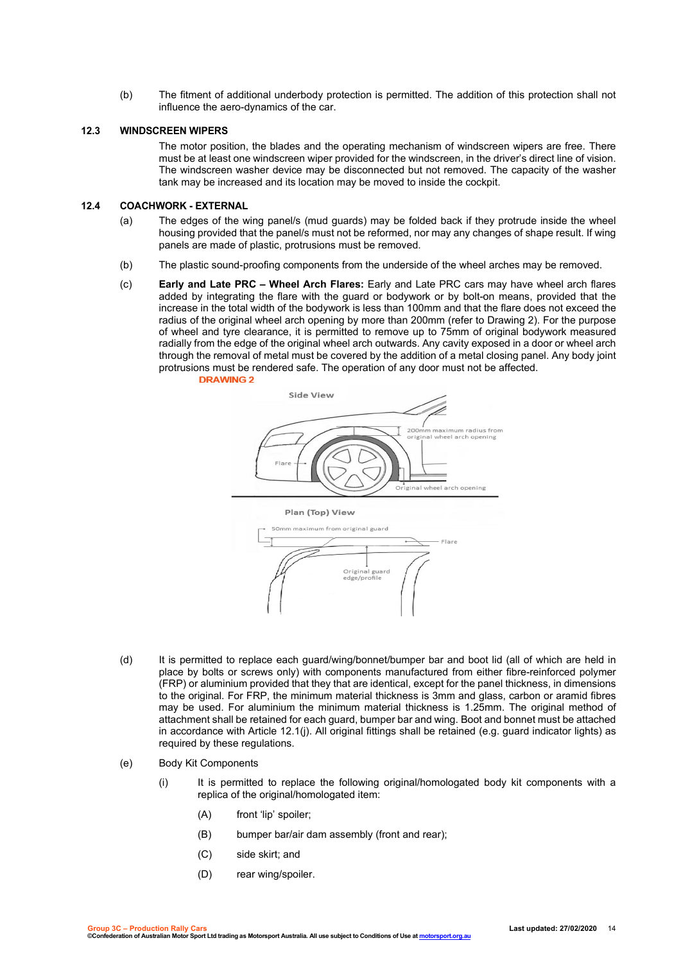(b) The fitment of additional underbody protection is permitted. The addition of this protection shall not influence the aero-dynamics of the car.

### **12.3 WINDSCREEN WIPERS**

The motor position, the blades and the operating mechanism of windscreen wipers are free. There must be at least one windscreen wiper provided for the windscreen, in the driver's direct line of vision. The windscreen washer device may be disconnected but not removed. The capacity of the washer tank may be increased and its location may be moved to inside the cockpit.

## **12.4 COACHWORK - EXTERNAL**

- (a) The edges of the wing panel/s (mud guards) may be folded back if they protrude inside the wheel housing provided that the panel/s must not be reformed, nor may any changes of shape result. If wing panels are made of plastic, protrusions must be removed.
- (b) The plastic sound-proofing components from the underside of the wheel arches may be removed.
- (c) **Early and Late PRC – Wheel Arch Flares:** Early and Late PRC cars may have wheel arch flares added by integrating the flare with the guard or bodywork or by bolt-on means, provided that the increase in the total width of the bodywork is less than 100mm and that the flare does not exceed the radius of the original wheel arch opening by more than 200mm (refer to Drawing 2). For the purpose of wheel and tyre clearance, it is permitted to remove up to 75mm of original bodywork measured radially from the edge of the original wheel arch outwards. Any cavity exposed in a door or wheel arch through the removal of metal must be covered by the addition of a metal closing panel. Any body joint protrusions must be rendered safe. The operation of any door must not be affected.<br>DRAWING 2



- (d) It is permitted to replace each guard/wing/bonnet/bumper bar and boot lid (all of which are held in place by bolts or screws only) with components manufactured from either fibre-reinforced polymer (FRP) or aluminium provided that they that are identical, except for the panel thickness, in dimensions to the original. For FRP, the minimum material thickness is 3mm and glass, carbon or aramid fibres may be used. For aluminium the minimum material thickness is 1.25mm. The original method of attachment shall be retained for each guard, bumper bar and wing. Boot and bonnet must be attached in accordance with Article 12.1(j). All original fittings shall be retained (e.g. guard indicator lights) as required by these regulations.
- (e) Body Kit Components
	- (i) It is permitted to replace the following original/homologated body kit components with a replica of the original/homologated item:
		- (A) front 'lip' spoiler;
		- (B) bumper bar/air dam assembly (front and rear);
		- (C) side skirt; and
		- (D) rear wing/spoiler.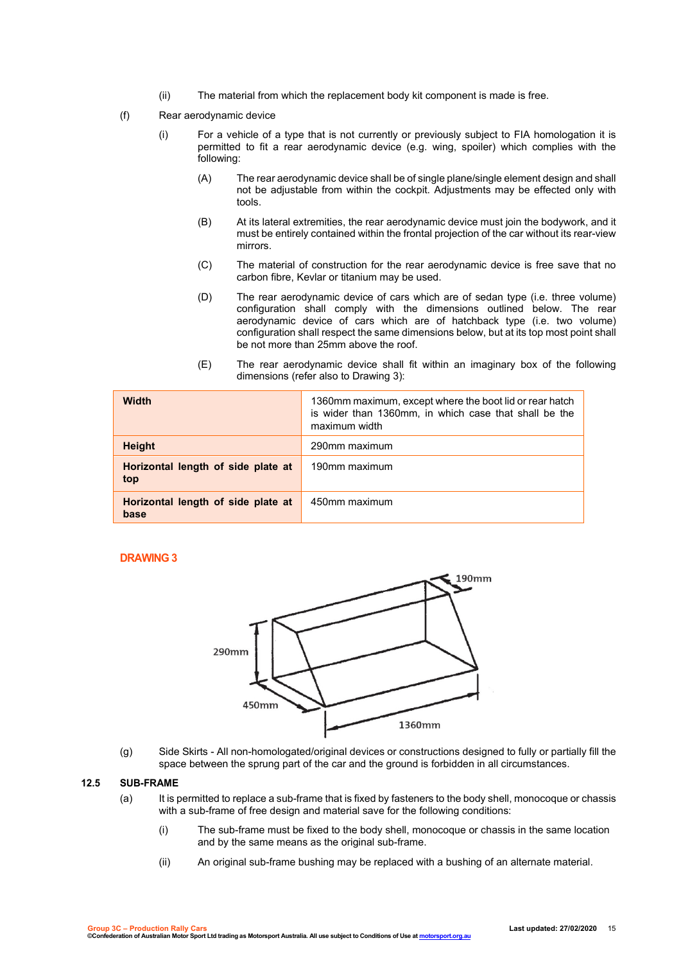- (ii) The material from which the replacement body kit component is made is free.
- (f) Rear aerodynamic device
	- (i) For a vehicle of a type that is not currently or previously subject to FIA homologation it is permitted to fit a rear aerodynamic device (e.g. wing, spoiler) which complies with the following:
		- (A) The rear aerodynamic device shall be of single plane/single element design and shall not be adjustable from within the cockpit. Adjustments may be effected only with tools.
		- (B) At its lateral extremities, the rear aerodynamic device must join the bodywork, and it must be entirely contained within the frontal projection of the car without its rear-view mirrors.
		- (C) The material of construction for the rear aerodynamic device is free save that no carbon fibre, Kevlar or titanium may be used.
		- (D) The rear aerodynamic device of cars which are of sedan type (i.e. three volume) configuration shall comply with the dimensions outlined below. The rear aerodynamic device of cars which are of hatchback type (i.e. two volume) configuration shall respect the same dimensions below, but at its top most point shall be not more than 25mm above the roof.
		- (E) The rear aerodynamic device shall fit within an imaginary box of the following dimensions (refer also to Drawing 3):

| <b>Width</b>                               | 1360mm maximum, except where the boot lid or rear hatch<br>is wider than 1360mm, in which case that shall be the<br>maximum width |
|--------------------------------------------|-----------------------------------------------------------------------------------------------------------------------------------|
| <b>Height</b>                              | 290mm maximum                                                                                                                     |
| Horizontal length of side plate at<br>top  | 190mm maximum                                                                                                                     |
| Horizontal length of side plate at<br>base | 450mm maximum                                                                                                                     |

# **DRAWING 3**



(g) Side Skirts - All non-homologated/original devices or constructions designed to fully or partially fill the space between the sprung part of the car and the ground is forbidden in all circumstances.

#### **12.5 SUB-FRAME**

- (a) It is permitted to replace a sub-frame that is fixed by fasteners to the body shell, monocoque or chassis with a sub-frame of free design and material save for the following conditions:
	- (i) The sub-frame must be fixed to the body shell, monocoque or chassis in the same location and by the same means as the original sub-frame.
	- (ii) An original sub-frame bushing may be replaced with a bushing of an alternate material.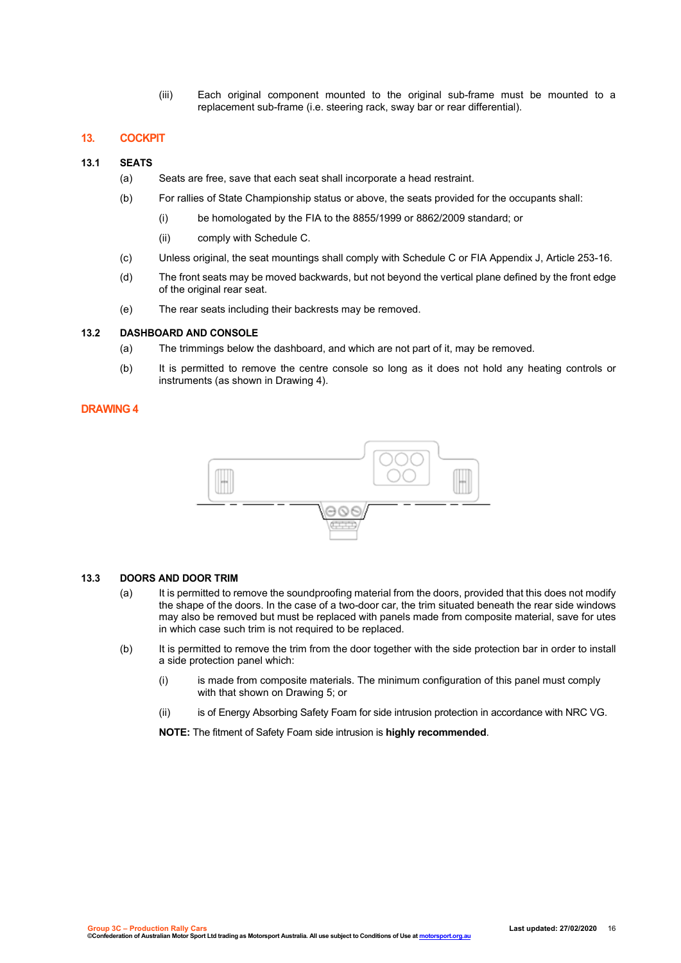(iii) Each original component mounted to the original sub-frame must be mounted to a replacement sub-frame (i.e. steering rack, sway bar or rear differential).

## **13. COCKPIT**

### **13.1 SEATS**

- (a) Seats are free, save that each seat shall incorporate a head restraint.
- (b) For rallies of State Championship status or above, the seats provided for the occupants shall:
	- (i) be homologated by the FIA to the 8855/1999 or 8862/2009 standard; or
	- (ii) comply with Schedule C.
- (c) Unless original, the seat mountings shall comply with Schedule C or FIA Appendix J, Article 253-16.
- (d) The front seats may be moved backwards, but not beyond the vertical plane defined by the front edge of the original rear seat.
- (e) The rear seats including their backrests may be removed.

## **13.2 DASHBOARD AND CONSOLE**

- (a) The trimmings below the dashboard, and which are not part of it, may be removed.
- (b) It is permitted to remove the centre console so long as it does not hold any heating controls or instruments (as shown in Drawing 4).

# **DRAWING 4**



## **13.3 DOORS AND DOOR TRIM**

- (a) It is permitted to remove the soundproofing material from the doors, provided that this does not modify the shape of the doors. In the case of a two-door car, the trim situated beneath the rear side windows may also be removed but must be replaced with panels made from composite material, save for utes in which case such trim is not required to be replaced.
- (b) It is permitted to remove the trim from the door together with the side protection bar in order to install a side protection panel which:
	- (i) is made from composite materials. The minimum configuration of this panel must comply with that shown on Drawing 5; or
	- (ii) is of Energy Absorbing Safety Foam for side intrusion protection in accordance with NRC VG.

**NOTE:** The fitment of Safety Foam side intrusion is **highly recommended**.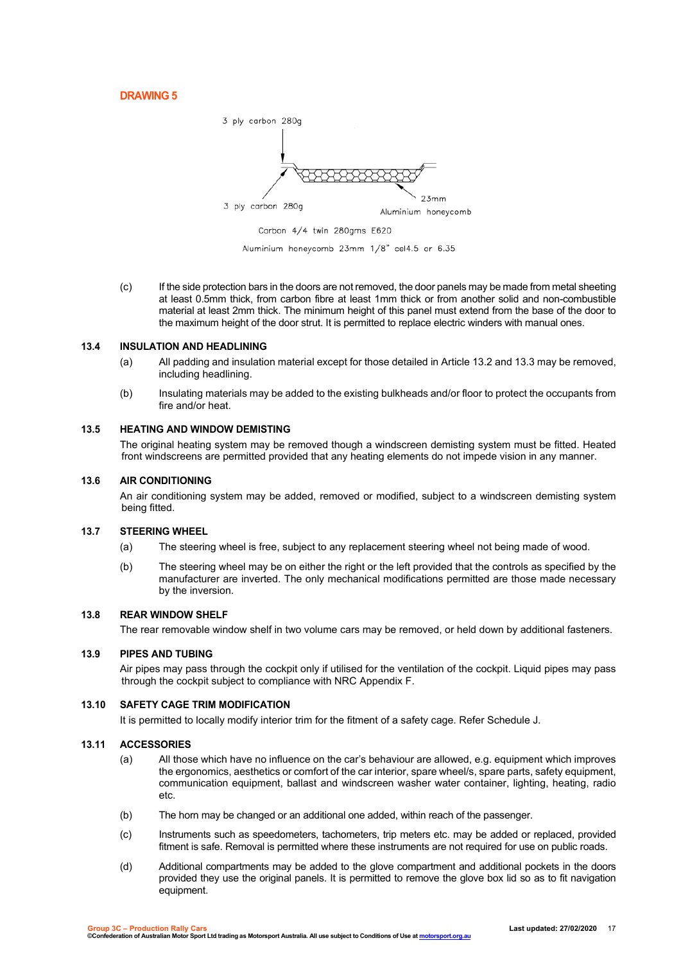**DRAWING 5**



Aluminium honeycomb 23mm 1/8" cel4.5 or 6.35

(c) If the side protection bars in the doors are not removed, the door panels may be made from metal sheeting at least 0.5mm thick, from carbon fibre at least 1mm thick or from another solid and non-combustible material at least 2mm thick. The minimum height of this panel must extend from the base of the door to the maximum height of the door strut. It is permitted to replace electric winders with manual ones.

#### **13.4 INSULATION AND HEADLINING**

- (a) All padding and insulation material except for those detailed in Article 13.2 and 13.3 may be removed, including headlining.
- (b) Insulating materials may be added to the existing bulkheads and/or floor to protect the occupants from fire and/or heat.

#### **13.5 HEATING AND WINDOW DEMISTING**

The original heating system may be removed though a windscreen demisting system must be fitted. Heated front windscreens are permitted provided that any heating elements do not impede vision in any manner.

### **13.6 AIR CONDITIONING**

An air conditioning system may be added, removed or modified, subject to a windscreen demisting system being fitted.

#### **13.7 STEERING WHEEL**

- (a) The steering wheel is free, subject to any replacement steering wheel not being made of wood.
- (b) The steering wheel may be on either the right or the left provided that the controls as specified by the manufacturer are inverted. The only mechanical modifications permitted are those made necessary by the inversion.

#### **13.8 REAR WINDOW SHELF**

The rear removable window shelf in two volume cars may be removed, or held down by additional fasteners.

#### **13.9 PIPES AND TUBING**

Air pipes may pass through the cockpit only if utilised for the ventilation of the cockpit. Liquid pipes may pass through the cockpit subject to compliance with NRC Appendix F.

## **13.10 SAFETY CAGE TRIM MODIFICATION**

It is permitted to locally modify interior trim for the fitment of a safety cage. Refer Schedule J.

## **13.11 ACCESSORIES**

- (a) All those which have no influence on the car's behaviour are allowed, e.g. equipment which improves the ergonomics, aesthetics or comfort of the car interior, spare wheel/s, spare parts, safety equipment, communication equipment, ballast and windscreen washer water container, lighting, heating, radio etc.
- (b) The horn may be changed or an additional one added, within reach of the passenger.
- (c) Instruments such as speedometers, tachometers, trip meters etc. may be added or replaced, provided fitment is safe. Removal is permitted where these instruments are not required for use on public roads.
- (d) Additional compartments may be added to the glove compartment and additional pockets in the doors provided they use the original panels. It is permitted to remove the glove box lid so as to fit navigation equipment.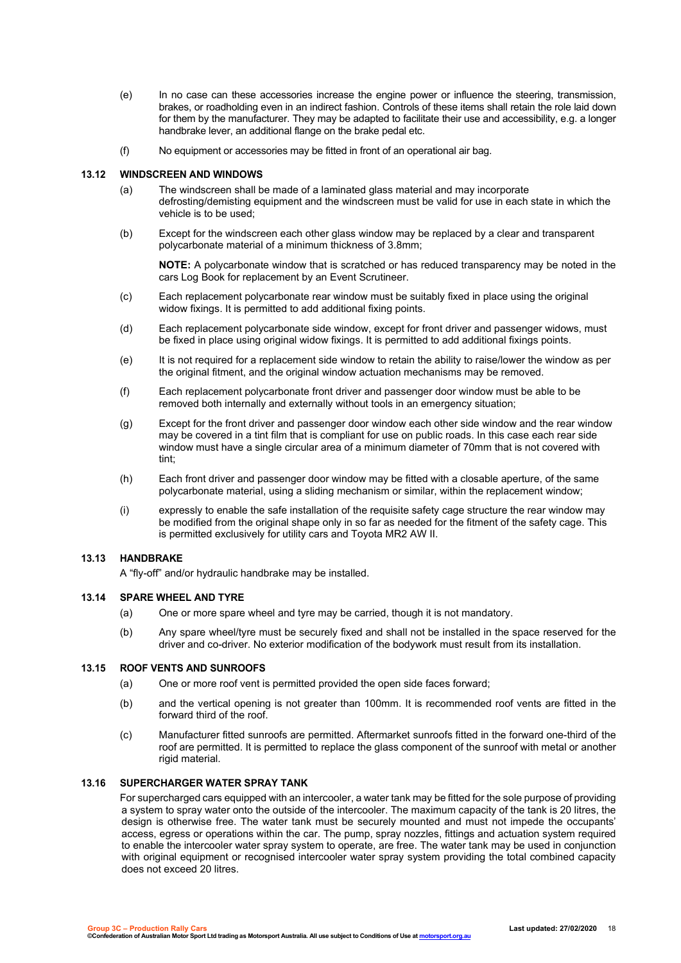- (e) In no case can these accessories increase the engine power or influence the steering, transmission, brakes, or roadholding even in an indirect fashion. Controls of these items shall retain the role laid down for them by the manufacturer. They may be adapted to facilitate their use and accessibility, e.g. a longer handbrake lever, an additional flange on the brake pedal etc.
- (f) No equipment or accessories may be fitted in front of an operational air bag.

#### **13.12 WINDSCREEN AND WINDOWS**

- (a) The windscreen shall be made of a laminated glass material and may incorporate defrosting/demisting equipment and the windscreen must be valid for use in each state in which the vehicle is to be used;
- (b) Except for the windscreen each other glass window may be replaced by a clear and transparent polycarbonate material of a minimum thickness of 3.8mm;

**NOTE:** A polycarbonate window that is scratched or has reduced transparency may be noted in the cars Log Book for replacement by an Event Scrutineer.

- (c) Each replacement polycarbonate rear window must be suitably fixed in place using the original widow fixings. It is permitted to add additional fixing points.
- (d) Each replacement polycarbonate side window, except for front driver and passenger widows, must be fixed in place using original widow fixings. It is permitted to add additional fixings points.
- (e) It is not required for a replacement side window to retain the ability to raise/lower the window as per the original fitment, and the original window actuation mechanisms may be removed.
- (f) Each replacement polycarbonate front driver and passenger door window must be able to be removed both internally and externally without tools in an emergency situation;
- (g) Except for the front driver and passenger door window each other side window and the rear window may be covered in a tint film that is compliant for use on public roads. In this case each rear side window must have a single circular area of a minimum diameter of 70mm that is not covered with tint;
- (h) Each front driver and passenger door window may be fitted with a closable aperture, of the same polycarbonate material, using a sliding mechanism or similar, within the replacement window;
- (i) expressly to enable the safe installation of the requisite safety cage structure the rear window may be modified from the original shape only in so far as needed for the fitment of the safety cage. This is permitted exclusively for utility cars and Toyota MR2 AW II.

#### **13.13 HANDBRAKE**

A "fly-off" and/or hydraulic handbrake may be installed.

#### **13.14 SPARE WHEEL AND TYRE**

- (a) One or more spare wheel and tyre may be carried, though it is not mandatory.
- (b) Any spare wheel/tyre must be securely fixed and shall not be installed in the space reserved for the driver and co-driver. No exterior modification of the bodywork must result from its installation.

# **13.15 ROOF VENTS AND SUNROOFS**

- (a) One or more roof vent is permitted provided the open side faces forward;
- (b) and the vertical opening is not greater than 100mm. It is recommended roof vents are fitted in the forward third of the roof.
- (c) Manufacturer fitted sunroofs are permitted. Aftermarket sunroofs fitted in the forward one-third of the roof are permitted. It is permitted to replace the glass component of the sunroof with metal or another rigid material.

## **13.16 SUPERCHARGER WATER SPRAY TANK**

For supercharged cars equipped with an intercooler, a water tank may be fitted for the sole purpose of providing a system to spray water onto the outside of the intercooler. The maximum capacity of the tank is 20 litres, the design is otherwise free. The water tank must be securely mounted and must not impede the occupants' access, egress or operations within the car. The pump, spray nozzles, fittings and actuation system required to enable the intercooler water spray system to operate, are free. The water tank may be used in conjunction with original equipment or recognised intercooler water spray system providing the total combined capacity does not exceed 20 litres.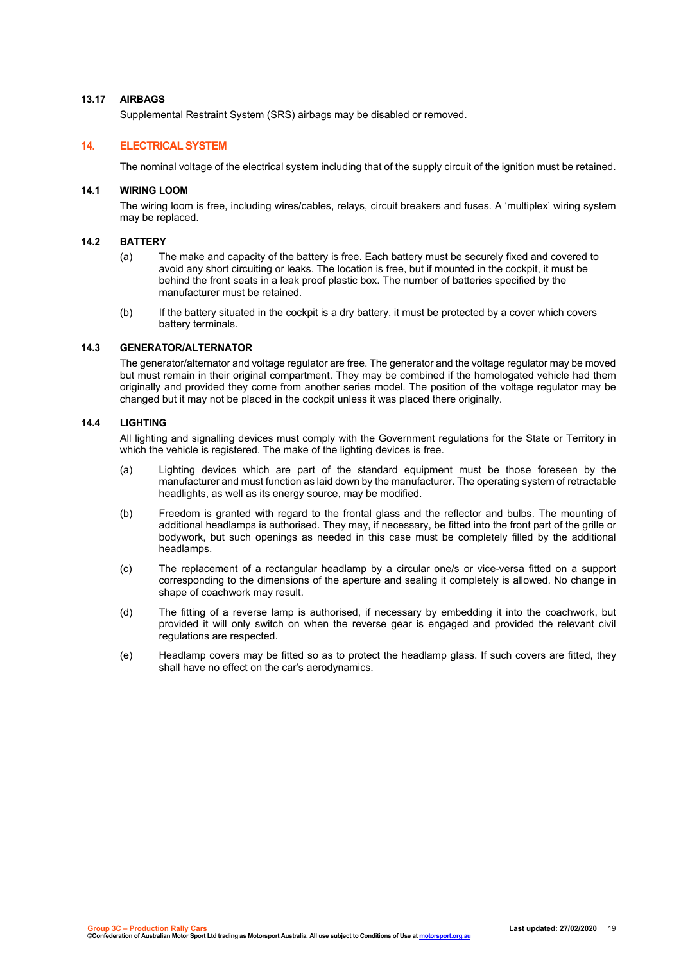## **13.17 AIRBAGS**

Supplemental Restraint System (SRS) airbags may be disabled or removed.

# **14. ELECTRICAL SYSTEM**

The nominal voltage of the electrical system including that of the supply circuit of the ignition must be retained.

#### **14.1 WIRING LOOM**

The wiring loom is free, including wires/cables, relays, circuit breakers and fuses. A 'multiplex' wiring system may be replaced.

#### **14.2 BATTERY**

- (a) The make and capacity of the battery is free. Each battery must be securely fixed and covered to avoid any short circuiting or leaks. The location is free, but if mounted in the cockpit, it must be behind the front seats in a leak proof plastic box. The number of batteries specified by the manufacturer must be retained.
- (b) If the battery situated in the cockpit is a dry battery, it must be protected by a cover which covers battery terminals.

#### **14.3 GENERATOR/ALTERNATOR**

The generator/alternator and voltage regulator are free. The generator and the voltage regulator may be moved but must remain in their original compartment. They may be combined if the homologated vehicle had them originally and provided they come from another series model. The position of the voltage regulator may be changed but it may not be placed in the cockpit unless it was placed there originally.

#### **14.4 LIGHTING**

All lighting and signalling devices must comply with the Government regulations for the State or Territory in which the vehicle is registered. The make of the lighting devices is free.

- (a) Lighting devices which are part of the standard equipment must be those foreseen by the manufacturer and must function as laid down by the manufacturer. The operating system of retractable headlights, as well as its energy source, may be modified.
- (b) Freedom is granted with regard to the frontal glass and the reflector and bulbs. The mounting of additional headlamps is authorised. They may, if necessary, be fitted into the front part of the grille or bodywork, but such openings as needed in this case must be completely filled by the additional headlamps.
- (c) The replacement of a rectangular headlamp by a circular one/s or vice-versa fitted on a support corresponding to the dimensions of the aperture and sealing it completely is allowed. No change in shape of coachwork may result.
- (d) The fitting of a reverse lamp is authorised, if necessary by embedding it into the coachwork, but provided it will only switch on when the reverse gear is engaged and provided the relevant civil regulations are respected.
- (e) Headlamp covers may be fitted so as to protect the headlamp glass. If such covers are fitted, they shall have no effect on the car's aerodynamics.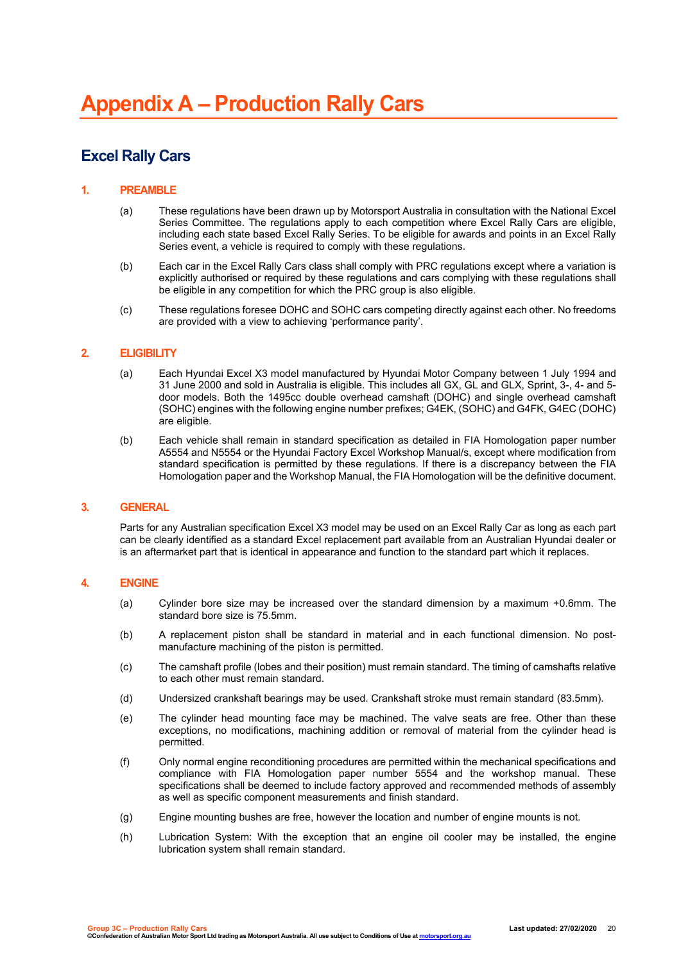# **Excel Rally Cars**

## **1. PREAMBLE**

- (a) These regulations have been drawn up by Motorsport Australia in consultation with the National Excel Series Committee. The regulations apply to each competition where Excel Rally Cars are eligible, including each state based Excel Rally Series. To be eligible for awards and points in an Excel Rally Series event, a vehicle is required to comply with these regulations.
- (b) Each car in the Excel Rally Cars class shall comply with PRC regulations except where a variation is explicitly authorised or required by these regulations and cars complying with these regulations shall be eligible in any competition for which the PRC group is also eligible.
- (c) These regulations foresee DOHC and SOHC cars competing directly against each other. No freedoms are provided with a view to achieving 'performance parity'.

#### **2. ELIGIBILITY**

- (a) Each Hyundai Excel X3 model manufactured by Hyundai Motor Company between 1 July 1994 and 31 June 2000 and sold in Australia is eligible. This includes all GX, GL and GLX, Sprint, 3-, 4- and 5 door models. Both the 1495cc double overhead camshaft (DOHC) and single overhead camshaft (SOHC) engines with the following engine number prefixes; G4EK, (SOHC) and G4FK, G4EC (DOHC) are eligible.
- (b) Each vehicle shall remain in standard specification as detailed in FIA Homologation paper number A5554 and N5554 or the Hyundai Factory Excel Workshop Manual/s, except where modification from standard specification is permitted by these regulations. If there is a discrepancy between the FIA Homologation paper and the Workshop Manual, the FIA Homologation will be the definitive document.

## **3. GENERAL**

Parts for any Australian specification Excel X3 model may be used on an Excel Rally Car as long as each part can be clearly identified as a standard Excel replacement part available from an Australian Hyundai dealer or is an aftermarket part that is identical in appearance and function to the standard part which it replaces.

## **4. ENGINE**

- (a) Cylinder bore size may be increased over the standard dimension by a maximum +0.6mm. The standard bore size is 75.5mm.
- (b) A replacement piston shall be standard in material and in each functional dimension. No postmanufacture machining of the piston is permitted.
- (c) The camshaft profile (lobes and their position) must remain standard. The timing of camshafts relative to each other must remain standard.
- (d) Undersized crankshaft bearings may be used. Crankshaft stroke must remain standard (83.5mm).
- (e) The cylinder head mounting face may be machined. The valve seats are free. Other than these exceptions, no modifications, machining addition or removal of material from the cylinder head is permitted.
- (f) Only normal engine reconditioning procedures are permitted within the mechanical specifications and compliance with FIA Homologation paper number 5554 and the workshop manual. These specifications shall be deemed to include factory approved and recommended methods of assembly as well as specific component measurements and finish standard.
- (g) Engine mounting bushes are free, however the location and number of engine mounts is not.
- (h) Lubrication System: With the exception that an engine oil cooler may be installed, the engine lubrication system shall remain standard.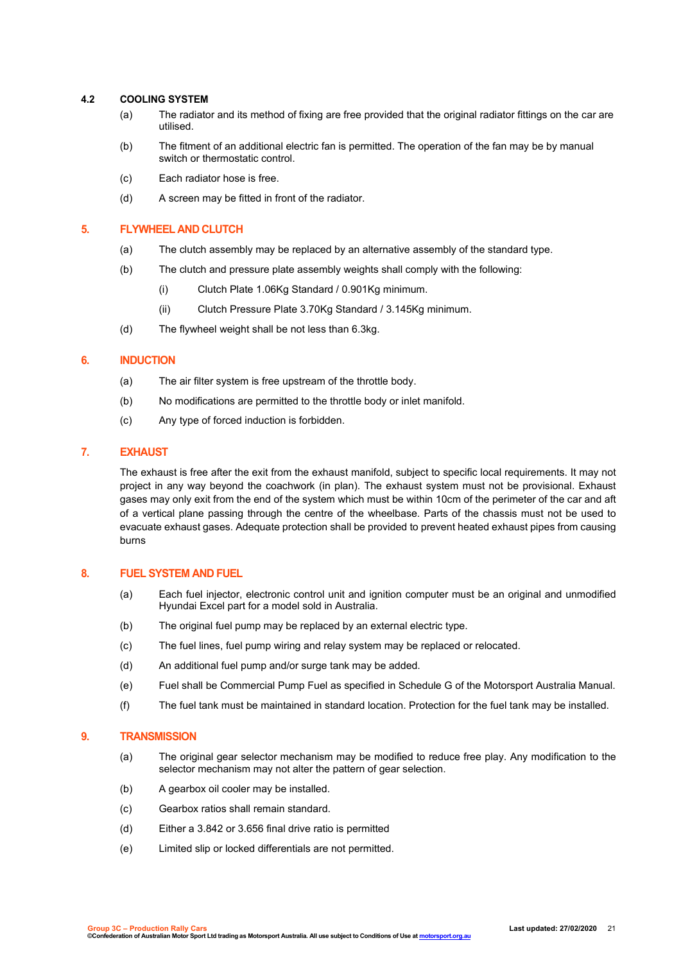## **4.2 COOLING SYSTEM**

- (a) The radiator and its method of fixing are free provided that the original radiator fittings on the car are utilised.
- (b) The fitment of an additional electric fan is permitted. The operation of the fan may be by manual switch or thermostatic control.
- (c) Each radiator hose is free.
- (d) A screen may be fitted in front of the radiator.

# **5. FLYWHEEL AND CLUTCH**

- (a) The clutch assembly may be replaced by an alternative assembly of the standard type.
- (b) The clutch and pressure plate assembly weights shall comply with the following:
	- (i) Clutch Plate 1.06Kg Standard / 0.901Kg minimum.
	- (ii) Clutch Pressure Plate 3.70Kg Standard / 3.145Kg minimum.
- (d) The flywheel weight shall be not less than 6.3kg.

# **6. INDUCTION**

- (a) The air filter system is free upstream of the throttle body.
- (b) No modifications are permitted to the throttle body or inlet manifold.
- (c) Any type of forced induction is forbidden.

## **7. EXHAUST**

The exhaust is free after the exit from the exhaust manifold, subject to specific local requirements. It may not project in any way beyond the coachwork (in plan). The exhaust system must not be provisional. Exhaust gases may only exit from the end of the system which must be within 10cm of the perimeter of the car and aft of a vertical plane passing through the centre of the wheelbase. Parts of the chassis must not be used to evacuate exhaust gases. Adequate protection shall be provided to prevent heated exhaust pipes from causing burns

# **8. FUEL SYSTEM AND FUEL**

- (a) Each fuel injector, electronic control unit and ignition computer must be an original and unmodified Hyundai Excel part for a model sold in Australia.
- (b) The original fuel pump may be replaced by an external electric type.
- (c) The fuel lines, fuel pump wiring and relay system may be replaced or relocated.
- (d) An additional fuel pump and/or surge tank may be added.
- (e) Fuel shall be Commercial Pump Fuel as specified in Schedule G of the Motorsport Australia Manual.
- (f) The fuel tank must be maintained in standard location. Protection for the fuel tank may be installed.

## **9. TRANSMISSION**

- (a) The original gear selector mechanism may be modified to reduce free play. Any modification to the selector mechanism may not alter the pattern of gear selection.
- (b) A gearbox oil cooler may be installed.
- (c) Gearbox ratios shall remain standard.
- (d) Either a 3.842 or 3.656 final drive ratio is permitted
- (e) Limited slip or locked differentials are not permitted.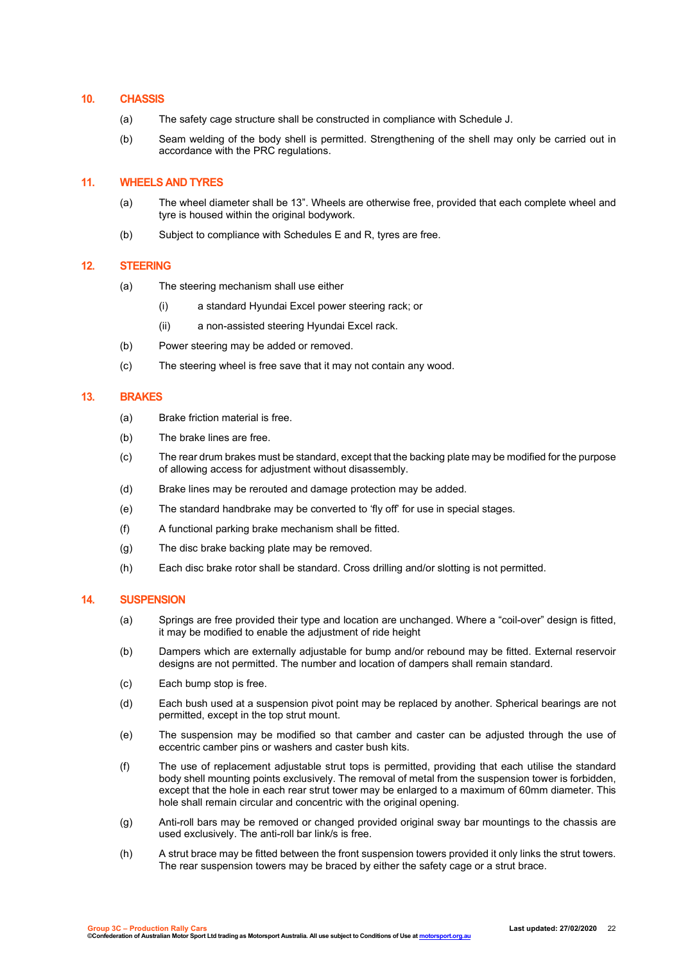## **10. CHASSIS**

- (a) The safety cage structure shall be constructed in compliance with Schedule J.
- (b) Seam welding of the body shell is permitted. Strengthening of the shell may only be carried out in accordance with the PRC regulations.

## **11. WHEELS AND TYRES**

- (a) The wheel diameter shall be 13". Wheels are otherwise free, provided that each complete wheel and tyre is housed within the original bodywork.
- (b) Subject to compliance with Schedules E and R, tyres are free.

## **12. STEERING**

- (a) The steering mechanism shall use either
	- (i) a standard Hyundai Excel power steering rack; or
	- (ii) a non-assisted steering Hyundai Excel rack.
- (b) Power steering may be added or removed.
- (c) The steering wheel is free save that it may not contain any wood.

# **13. BRAKES**

- (a) Brake friction material is free.
- (b) The brake lines are free.
- (c) The rear drum brakes must be standard, except that the backing plate may be modified for the purpose of allowing access for adjustment without disassembly.
- (d) Brake lines may be rerouted and damage protection may be added.
- (e) The standard handbrake may be converted to 'fly off' for use in special stages.
- (f) A functional parking brake mechanism shall be fitted.
- (g) The disc brake backing plate may be removed.
- (h) Each disc brake rotor shall be standard. Cross drilling and/or slotting is not permitted.

## **14. SUSPENSION**

- (a) Springs are free provided their type and location are unchanged. Where a "coil-over" design is fitted, it may be modified to enable the adjustment of ride height
- (b) Dampers which are externally adjustable for bump and/or rebound may be fitted. External reservoir designs are not permitted. The number and location of dampers shall remain standard.
- (c) Each bump stop is free.
- (d) Each bush used at a suspension pivot point may be replaced by another. Spherical bearings are not permitted, except in the top strut mount.
- (e) The suspension may be modified so that camber and caster can be adjusted through the use of eccentric camber pins or washers and caster bush kits.
- (f) The use of replacement adjustable strut tops is permitted, providing that each utilise the standard body shell mounting points exclusively. The removal of metal from the suspension tower is forbidden, except that the hole in each rear strut tower may be enlarged to a maximum of 60mm diameter. This hole shall remain circular and concentric with the original opening.
- (g) Anti-roll bars may be removed or changed provided original sway bar mountings to the chassis are used exclusively. The anti-roll bar link/s is free.
- (h) A strut brace may be fitted between the front suspension towers provided it only links the strut towers. The rear suspension towers may be braced by either the safety cage or a strut brace.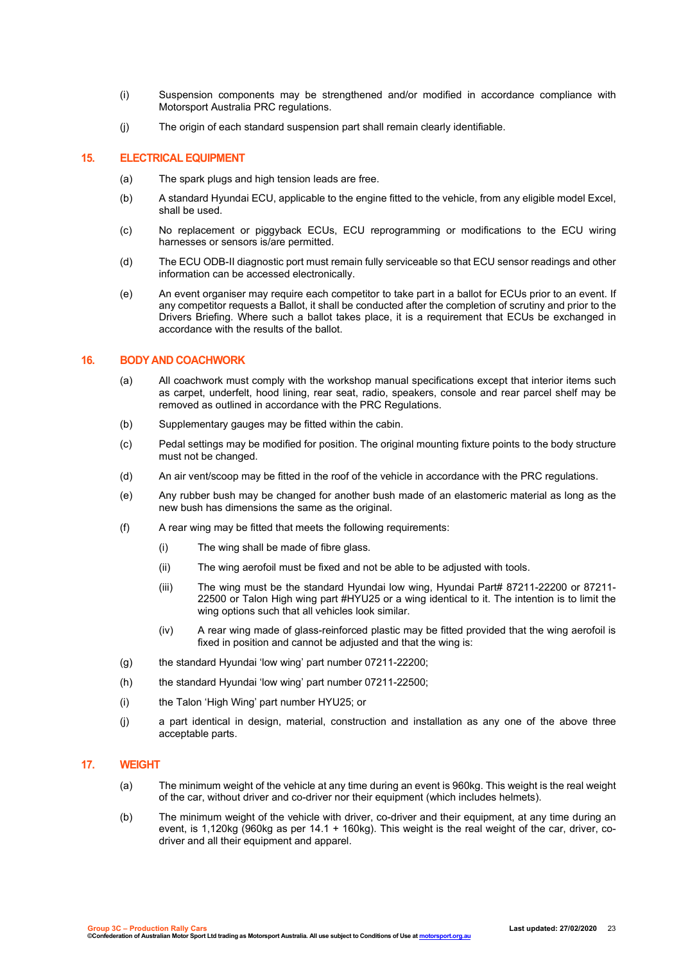- (i) Suspension components may be strengthened and/or modified in accordance compliance with Motorsport Australia PRC regulations.
- (j) The origin of each standard suspension part shall remain clearly identifiable.

## **15. ELECTRICAL EQUIPMENT**

- (a) The spark plugs and high tension leads are free.
- (b) A standard Hyundai ECU, applicable to the engine fitted to the vehicle, from any eligible model Excel, shall be used.
- (c) No replacement or piggyback ECUs, ECU reprogramming or modifications to the ECU wiring harnesses or sensors is/are permitted.
- (d) The ECU ODB-II diagnostic port must remain fully serviceable so that ECU sensor readings and other information can be accessed electronically.
- (e) An event organiser may require each competitor to take part in a ballot for ECUs prior to an event. If any competitor requests a Ballot, it shall be conducted after the completion of scrutiny and prior to the Drivers Briefing. Where such a ballot takes place, it is a requirement that ECUs be exchanged in accordance with the results of the ballot.

# **16. BODY AND COACHWORK**

- (a) All coachwork must comply with the workshop manual specifications except that interior items such as carpet, underfelt, hood lining, rear seat, radio, speakers, console and rear parcel shelf may be removed as outlined in accordance with the PRC Regulations.
- (b) Supplementary gauges may be fitted within the cabin.
- (c) Pedal settings may be modified for position. The original mounting fixture points to the body structure must not be changed.
- (d) An air vent/scoop may be fitted in the roof of the vehicle in accordance with the PRC regulations.
- (e) Any rubber bush may be changed for another bush made of an elastomeric material as long as the new bush has dimensions the same as the original.
- (f) A rear wing may be fitted that meets the following requirements:
	- (i) The wing shall be made of fibre glass.
	- (ii) The wing aerofoil must be fixed and not be able to be adjusted with tools.
	- (iii) The wing must be the standard Hyundai low wing, Hyundai Part# 87211-22200 or 87211- 22500 or Talon High wing part #HYU25 or a wing identical to it. The intention is to limit the wing options such that all vehicles look similar.
	- (iv) A rear wing made of glass-reinforced plastic may be fitted provided that the wing aerofoil is fixed in position and cannot be adjusted and that the wing is:
- (g) the standard Hyundai 'low wing' part number 07211-22200;
- (h) the standard Hyundai 'low wing' part number 07211-22500;
- (i) the Talon 'High Wing' part number HYU25; or
- (j) a part identical in design, material, construction and installation as any one of the above three acceptable parts.

#### **17. WEIGHT**

- (a) The minimum weight of the vehicle at any time during an event is 960kg. This weight is the real weight of the car, without driver and co-driver nor their equipment (which includes helmets).
- (b) The minimum weight of the vehicle with driver, co-driver and their equipment, at any time during an event, is 1,120kg (960kg as per 14.1 + 160kg). This weight is the real weight of the car, driver, codriver and all their equipment and apparel.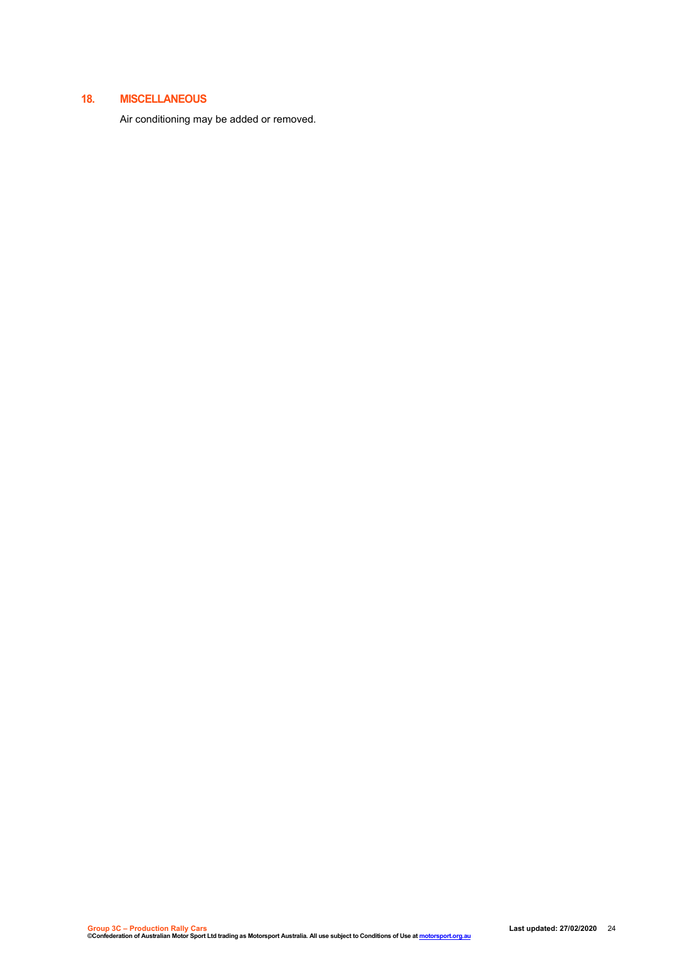# **18. MISCELLANEOUS**

Air conditioning may be added or removed.